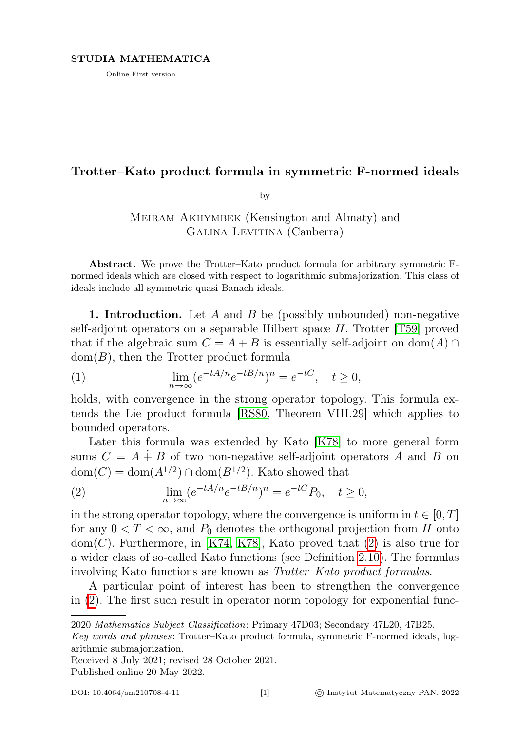Online First version

## Trotter–Kato product formula in symmetric F-normed ideals

by

## Meiram Akhymbek (Kensington and Almaty) and Galina Levitina (Canberra)

Abstract. We prove the Trotter–Kato product formula for arbitrary symmetric Fnormed ideals which are closed with respect to logarithmic submajorization. This class of ideals include all symmetric quasi-Banach ideals.

**1. Introduction.** Let A and B be (possibly unbounded) non-negative self-adjoint operators on a separable Hilbert space  $H$ . Trotter [\[T59\]](#page-23-0) proved that if the algebraic sum  $C = A + B$  is essentially self-adjoint on dom(A) ∩  $dom(B)$ , then the Trotter product formula

(1) 
$$
\lim_{n \to \infty} (e^{-tA/n} e^{-tB/n})^n = e^{-tC}, \quad t \ge 0,
$$

holds, with convergence in the strong operator topology. This formula extends the Lie product formula [\[RS80,](#page-23-1) Theorem VIII.29] which applies to bounded operators.

Later this formula was extended by Kato [\[K78\]](#page-23-2) to more general form sums  $C = A \dot{+} B$  of two non-negative self-adjoint operators A and B on  $dom(C) = \overline{dom(A^{1/2}) \cap dom(B^{1/2})}$ . Kato showed that

<span id="page-0-0"></span>(2) 
$$
\lim_{n \to \infty} (e^{-tA/n}e^{-tB/n})^n = e^{-tC}P_0, \quad t \ge 0,
$$

in the strong operator topology, where the convergence is uniform in  $t \in [0, T]$ for any  $0 < T < \infty$ , and  $P_0$  denotes the orthogonal projection from H onto  $dom(C)$ . Furthermore, in [\[K74,](#page-23-3) [K78\]](#page-23-2), Kato proved that  $(2)$  is also true for a wider class of so-called Kato functions (see Definition [2.10\)](#page-6-0). The formulas involving Kato functions are known as Trotter–Kato product formulas.

A particular point of interest has been to strengthen the convergence in [\(2\)](#page-0-0). The first such result in operator norm topology for exponential func-

Received 8 July 2021; revised 28 October 2021.

Published online 20 May 2022.

<sup>2020</sup> Mathematics Subject Classification: Primary 47D03; Secondary 47L20, 47B25.

Key words and phrases: Trotter–Kato product formula, symmetric F-normed ideals, logarithmic submajorization.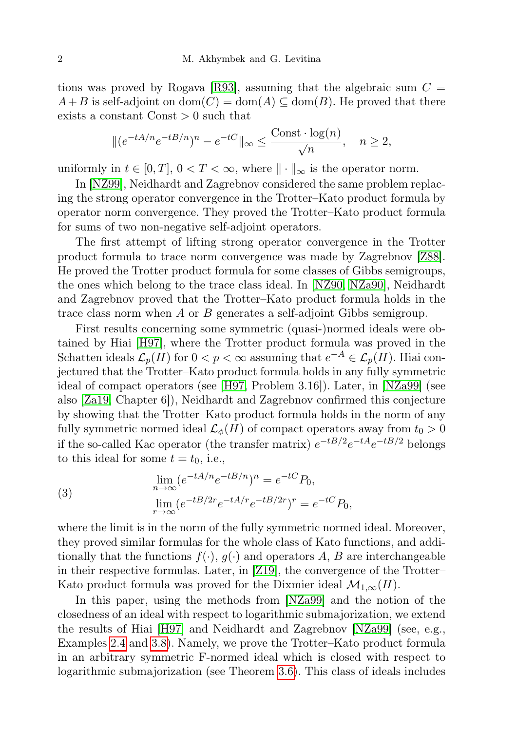tions was proved by Rogava [\[R93\]](#page-23-4), assuming that the algebraic sum  $C =$  $A+B$  is self-adjoint on  $dom(C) = dom(A) \subseteq dom(B)$ . He proved that there exists a constant  $Const > 0$  such that

$$
\|(e^{-tA/n}e^{-tB/n})^n - e^{-tC}\|_{\infty} \le \frac{\text{Const} \cdot \log(n)}{\sqrt{n}}, \quad n \ge 2,
$$

uniformly in  $t \in [0, T]$ ,  $0 < T < \infty$ , where  $\|\cdot\|_{\infty}$  is the operator norm.

In [\[NZ99\]](#page-23-5), Neidhardt and Zagrebnov considered the same problem replacing the strong operator convergence in the Trotter–Kato product formula by operator norm convergence. They proved the Trotter–Kato product formula for sums of two non-negative self-adjoint operators.

The first attempt of lifting strong operator convergence in the Trotter product formula to trace norm convergence was made by Zagrebnov [\[Z88\]](#page-23-6). He proved the Trotter product formula for some classes of Gibbs semigroups, the ones which belong to the trace class ideal. In [\[NZ90,](#page-23-7) [NZa90\]](#page-23-8), Neidhardt and Zagrebnov proved that the Trotter–Kato product formula holds in the trace class norm when A or B generates a self-adjoint Gibbs semigroup.

First results concerning some symmetric (quasi-)normed ideals were obtained by Hiai [\[H97\]](#page-23-9), where the Trotter product formula was proved in the Schatten ideals  $\mathcal{L}_p(H)$  for  $0 < p < \infty$  assuming that  $e^{-A} \in \mathcal{L}_p(H)$ . Hiai conjectured that the Trotter–Kato product formula holds in any fully symmetric ideal of compact operators (see [\[H97,](#page-23-9) Problem 3.16]). Later, in [\[NZa99\]](#page-23-10) (see also [\[Za19,](#page-24-0) Chapter 6]), Neidhardt and Zagrebnov confirmed this conjecture by showing that the Trotter–Kato product formula holds in the norm of any fully symmetric normed ideal  $\mathcal{L}_{\phi}(H)$  of compact operators away from  $t_0 > 0$ if the so-called Kac operator (the transfer matrix)  $e^{-tB/2}e^{-tA}e^{-tB/2}$  belongs to this ideal for some  $t = t_0$ , i.e.,

(3) 
$$
\lim_{n \to \infty} (e^{-tA/n}e^{-tB/n})^n = e^{-tC}P_0,
$$

$$
\lim_{r \to \infty} (e^{-tB/2r}e^{-tA/r}e^{-tB/2r})^r = e^{-tC}P_0,
$$

where the limit is in the norm of the fully symmetric normed ideal. Moreover, they proved similar formulas for the whole class of Kato functions, and additionally that the functions  $f(\cdot), g(\cdot)$  and operators A, B are interchangeable in their respective formulas. Later, in [\[Z19\]](#page-24-1), the convergence of the Trotter– Kato product formula was proved for the Dixmier ideal  $\mathcal{M}_{1,\infty}(H)$ .

In this paper, using the methods from [\[NZa99\]](#page-23-10) and the notion of the closedness of an ideal with respect to logarithmic submajorization, we extend the results of Hiai [\[H97\]](#page-23-9) and Neidhardt and Zagrebnov [\[NZa99\]](#page-23-10) (see, e.g., Examples [2.4](#page-3-0) and [3.8\)](#page-17-0). Namely, we prove the Trotter–Kato product formula in an arbitrary symmetric F-normed ideal which is closed with respect to logarithmic submajorization (see Theorem [3.6\)](#page-16-0). This class of ideals includes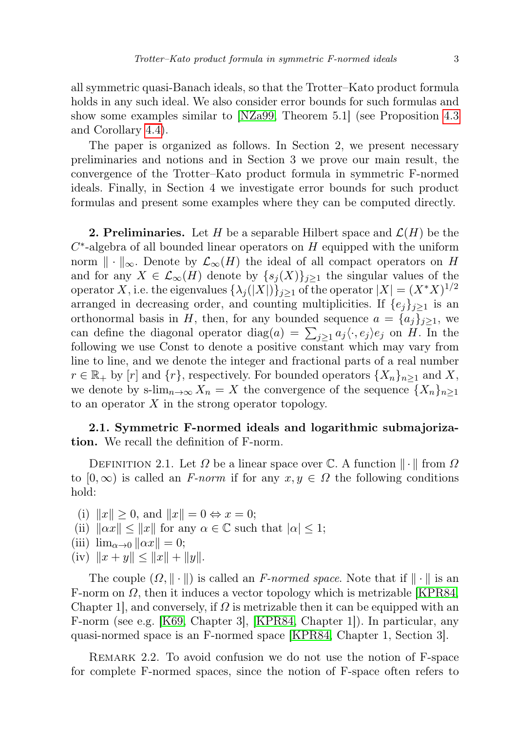all symmetric quasi-Banach ideals, so that the Trotter–Kato product formula holds in any such ideal. We also consider error bounds for such formulas and show some examples similar to [\[NZa99,](#page-23-10) Theorem 5.1] (see Proposition [4.3](#page-19-0) and Corollary [4.4\)](#page-21-0).

The paper is organized as follows. In Section 2, we present necessary preliminaries and notions and in Section 3 we prove our main result, the convergence of the Trotter–Kato product formula in symmetric F-normed ideals. Finally, in Section 4 we investigate error bounds for such product formulas and present some examples where they can be computed directly.

**2. Preliminaries.** Let H be a separable Hilbert space and  $\mathcal{L}(H)$  be the  $C^*$ -algebra of all bounded linear operators on  $H$  equipped with the uniform norm  $\|\cdot\|_{\infty}$ . Denote by  $\mathcal{L}_{\infty}(H)$  the ideal of all compact operators on H and for any  $X \in \mathcal{L}_{\infty}(H)$  denote by  $\{s_j(X)\}_{j\geq 1}$  the singular values of the operator X, i.e. the eigenvalues  $\{\lambda_j(|X|)\}_{j\geq 1}$  of the operator  $|X| = (X^*X)^{1/2}$ arranged in decreasing order, and counting multiplicities. If  $\{e_i\}_{i\geq 1}$  is an orthonormal basis in H, then, for any bounded sequence  $a = \{a_i\}_{i \geq 1}$ , we can define the diagonal operator diag $(a) = \sum_{j\geq 1} a_j \langle \cdot, e_j \rangle e_j$  on H. In the following we use Const to denote a positive constant which may vary from line to line, and we denote the integer and fractional parts of a real number  $r \in \mathbb{R}_+$  by  $[r]$  and  $\{r\}$ , respectively. For bounded operators  $\{X_n\}_{n\geq 1}$  and X, we denote by s-lim<sub>n→∞</sub>  $X_n = X$  the convergence of the sequence  $\{X_n\}_{n\geq 1}$ to an operator  $X$  in the strong operator topology.

## 2.1. Symmetric F-normed ideals and logarithmic submajorization. We recall the definition of F-norm.

<span id="page-2-1"></span>DEFINITION 2.1. Let  $\Omega$  be a linear space over  $\mathbb{C}$ . A function  $\|\cdot\|$  from  $\Omega$ to  $[0, \infty)$  is called an F-norm if for any  $x, y \in \Omega$  the following conditions hold:

(i)  $||x|| \geq 0$ , and  $||x|| = 0 \Leftrightarrow x = 0$ ;

- (ii)  $\|\alpha x\| \leq \|x\|$  for any  $\alpha \in \mathbb{C}$  such that  $|\alpha| \leq 1$ ;
- <span id="page-2-0"></span>(iii)  $\lim_{\alpha \to 0} ||\alpha x|| = 0;$
- (iv)  $||x + y|| \le ||x|| + ||y||$ .

The couple  $(\Omega, \|\cdot\|)$  is called an *F-normed space*. Note that if  $\|\cdot\|$  is an F-norm on  $\Omega$ , then it induces a vector topology which is metrizable [\[KPR84,](#page-23-11) Chapter 1, and conversely, if  $\Omega$  is metrizable then it can be equipped with an F-norm (see e.g. [\[K69,](#page-23-12) Chapter 3], [\[KPR84,](#page-23-11) Chapter 1]). In particular, any quasi-normed space is an F-normed space [\[KPR84,](#page-23-11) Chapter 1, Section 3].

Remark 2.2. To avoid confusion we do not use the notion of F-space for complete F-normed spaces, since the notion of F-space often refers to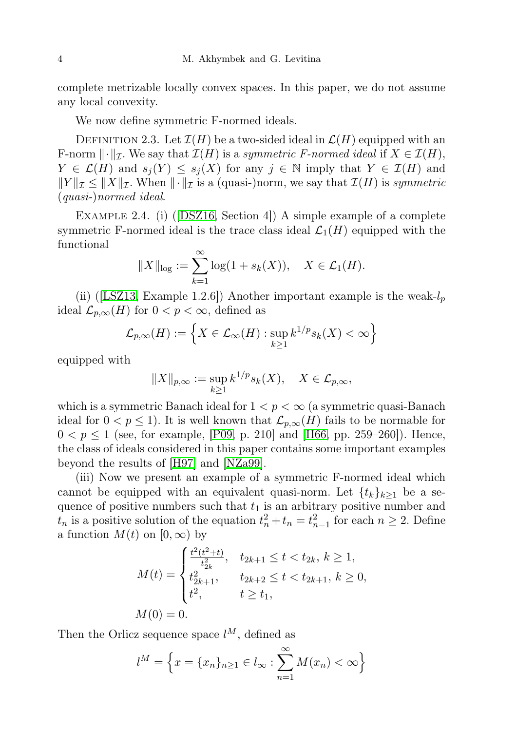complete metrizable locally convex spaces. In this paper, we do not assume any local convexity.

We now define symmetric F-normed ideals.

DEFINITION 2.3. Let  $\mathcal{I}(H)$  be a two-sided ideal in  $\mathcal{L}(H)$  equipped with an F-norm  $\|\cdot\|_{\mathcal{I}}$ . We say that  $\mathcal{I}(H)$  is a symmetric F-normed ideal if  $X \in \mathcal{I}(H)$ ,  $Y \in \mathcal{L}(H)$  and  $s_j(Y) \leq s_j(X)$  for any  $j \in \mathbb{N}$  imply that  $Y \in \mathcal{I}(H)$  and  $||Y||_{\mathcal{I}} \leq ||X||_{\mathcal{I}}$ . When  $|| \cdot ||_{\mathcal{I}}$  is a (quasi-)norm, we say that  $\mathcal{I}(H)$  is symmetric (quasi-)normed ideal.

<span id="page-3-0"></span>EXAMPLE 2.4. (i) ([\[DSZ16,](#page-23-13) Section 4]) A simple example of a complete symmetric F-normed ideal is the trace class ideal  $\mathcal{L}_1(H)$  equipped with the functional

$$
||X||_{\log} := \sum_{k=1}^{\infty} \log(1 + s_k(X)), \quad X \in \mathcal{L}_1(H).
$$

(ii) ([\[LSZ13,](#page-23-14) Example 1.2.6]) Another important example is the weak- $l_p$ ideal  $\mathcal{L}_{p,\infty}(H)$  for  $0 < p < \infty$ , defined as

$$
\mathcal{L}_{p,\infty}(H) := \left\{ X \in \mathcal{L}_{\infty}(H) : \sup_{k \ge 1} k^{1/p} s_k(X) < \infty \right\}
$$

equipped with

$$
||X||_{p,\infty} := \sup_{k \ge 1} k^{1/p} s_k(X), \quad X \in \mathcal{L}_{p,\infty},
$$

which is a symmetric Banach ideal for  $1 < p < \infty$  (a symmetric quasi-Banach ideal for  $0 < p \le 1$ ). It is well known that  $\mathcal{L}_{p,\infty}(H)$  fails to be normable for  $0 < p \le 1$  (see, for example, [\[P09,](#page-23-15) p. 210] and [\[H66,](#page-23-16) pp. 259–260]). Hence, the class of ideals considered in this paper contains some important examples beyond the results of [\[H97\]](#page-23-9) and [\[NZa99\]](#page-23-10).

(iii) Now we present an example of a symmetric F-normed ideal which cannot be equipped with an equivalent quasi-norm. Let  $\{t_k\}_{k>1}$  be a sequence of positive numbers such that  $t_1$  is an arbitrary positive number and  $t_n$  is a positive solution of the equation  $t_n^2 + t_n = t_{n-1}^2$  for each  $n \ge 2$ . Define a function  $M(t)$  on  $[0, \infty)$  by

$$
M(t) = \begin{cases} \frac{t^2(t^2+t)}{t_{2k}^2}, & t_{2k+1} \le t < t_{2k}, \, k \ge 1, \\ t_{2k+1}^2, & t_{2k+2} \le t < t_{2k+1}, \, k \ge 0, \\ t^2, & t \ge t_1, \end{cases}
$$
\n
$$
M(0) = 0.
$$

Then the Orlicz sequence space  $l^M$ , defined as

$$
l^{M} = \left\{ x = \{x_{n}\}_{n\geq 1} \in l_{\infty} : \sum_{n=1}^{\infty} M(x_{n}) < \infty \right\}
$$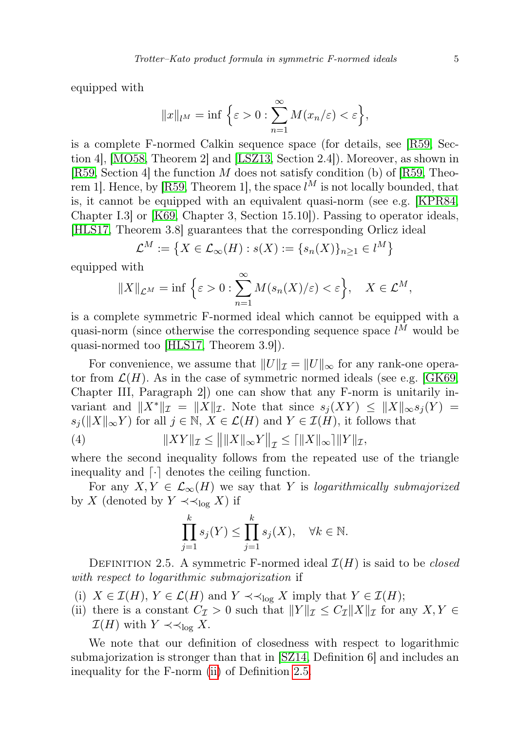equipped with

$$
||x||_{l^M} = \inf \left\{ \varepsilon > 0 : \sum_{n=1}^{\infty} M(x_n/\varepsilon) < \varepsilon \right\},\
$$

is a complete F-normed Calkin sequence space (for details, see [\[R59,](#page-23-17) Section 4], [\[MO58,](#page-23-18) Theorem 2] and [\[LSZ13,](#page-23-14) Section 2.4]). Moreover, as shown in [\[R59,](#page-23-17) Section 4] the function  $M$  does not satisfy condition (b) of [R59, Theo-rem 1]. Hence, by [\[R59,](#page-23-17) Theorem 1], the space  $l^M$  is not locally bounded, that is, it cannot be equipped with an equivalent quasi-norm (see e.g. [\[KPR84,](#page-23-11) Chapter I.3] or [\[K69,](#page-23-12) Chapter 3, Section 15.10]). Passing to operator ideals, [\[HLS17,](#page-23-19) Theorem 3.8] guarantees that the corresponding Orlicz ideal

$$
\mathcal{L}^M := \left\{ X \in \mathcal{L}_\infty(H) : s(X) := \{ s_n(X) \}_{n \ge 1} \in l^M \right\}
$$

equipped with

$$
||X||_{\mathcal{L}^M} = \inf \left\{ \varepsilon > 0 : \sum_{n=1}^{\infty} M(s_n(X)/\varepsilon) < \varepsilon \right\}, \quad X \in \mathcal{L}^M,
$$

is a complete symmetric F-normed ideal which cannot be equipped with a quasi-norm (since otherwise the corresponding sequence space  $l^M$  would be quasi-normed too [\[HLS17,](#page-23-19) Theorem 3.9]).

For convenience, we assume that  $||U||_{\mathcal{I}} = ||U||_{\infty}$  for any rank-one operator from  $\mathcal{L}(H)$ . As in the case of symmetric normed ideals (see e.g. [\[GK69,](#page-23-20) Chapter III, Paragraph 2]) one can show that any F-norm is unitarily invariant and  $||X^*||_{\mathcal{I}} = ||X||_{\mathcal{I}}$ . Note that since  $s_i(XY) \leq ||X||_{\infty} s_i(Y) =$  $s_j(||X||_{\infty}Y)$  for all  $j \in \mathbb{N}, X \in \mathcal{L}(H)$  and  $Y \in \mathcal{I}(H)$ , it follows that

(4) 
$$
||XY||_{\mathcal{I}} \le ||||X||_{\infty}Y||_{\mathcal{I}} \le |||X||_{\infty}|||Y||_{\mathcal{I}},
$$

where the second inequality follows from the repeated use of the triangle inequality and  $\lceil \cdot \rceil$  denotes the ceiling function.

For any  $X, Y \in \mathcal{L}_{\infty}(H)$  we say that Y is logarithmically submajorized by X (denoted by  $Y \prec \prec_{\log} X$ ) if

<span id="page-4-3"></span>
$$
\prod_{j=1}^k s_j(Y) \le \prod_{j=1}^k s_j(X), \quad \forall k \in \mathbb{N}.
$$

<span id="page-4-1"></span>DEFINITION 2.5. A symmetric F-normed ideal  $\mathcal{I}(H)$  is said to be *closed* with respect to logarithmic submajorization if

- <span id="page-4-2"></span>(i)  $X \in \mathcal{I}(H)$ ,  $Y \in \mathcal{L}(H)$  and  $Y \prec \prec_{\text{log}} X$  imply that  $Y \in \mathcal{I}(H)$ ;
- <span id="page-4-0"></span>(ii) there is a constant  $C_{\mathcal{I}} > 0$  such that  $||Y||_{\mathcal{I}} \leq C_{\mathcal{I}} ||X||_{\mathcal{I}}$  for any  $X, Y \in$  $\mathcal{I}(H)$  with  $Y \prec \prec_{\text{log}} X$ .

We note that our definition of closedness with respect to logarithmic submajorization is stronger than that in [\[SZ14,](#page-23-21) Definition 6] and includes an inequality for the F-norm [\(ii\)](#page-4-0) of Definition [2.5.](#page-4-1)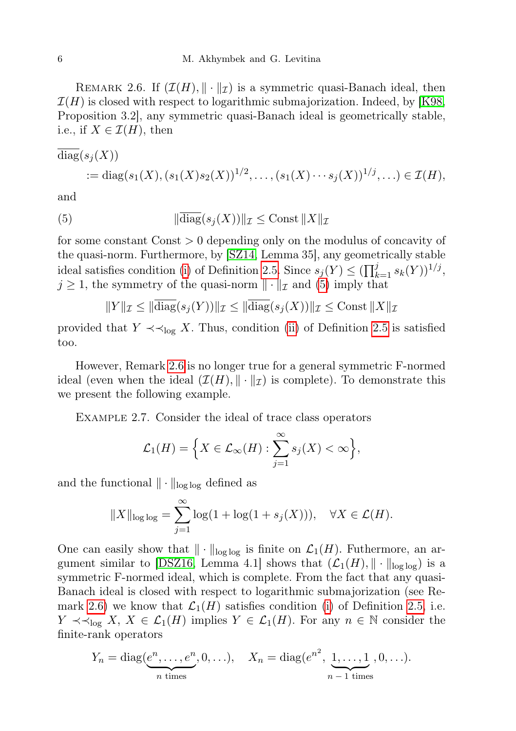<span id="page-5-1"></span>REMARK 2.6. If  $(\mathcal{I}(H), \|\cdot\|_{\mathcal{I}})$  is a symmetric quasi-Banach ideal, then  $\mathcal{I}(H)$  is closed with respect to logarithmic submajorization. Indeed, by [\[K98,](#page-23-22) Proposition 3.2], any symmetric quasi-Banach ideal is geometrically stable, i.e., if  $X \in \mathcal{I}(H)$ , then

diag
$$
(s_j(X))
$$
  
 := diag $(s_1(X), (s_1(X)s_2(X))^{1/2}, \ldots, (s_1(X) \cdots s_j(X))^{1/j}, \ldots) \in \mathcal{I}(H)$ ,

<span id="page-5-0"></span>and

(5) 
$$
\|\overline{\text{diag}}(s_j(X))\|_{\mathcal{I}} \leq \text{Const } \|X\|_{\mathcal{I}}
$$

for some constant Const > 0 depending only on the modulus of concavity of the quasi-norm. Furthermore, by [\[SZ14,](#page-23-21) Lemma 35], any geometrically stable ideal satisfies condition [\(i\)](#page-4-2) of Definition [2.5.](#page-4-1) Since  $s_j(Y) \leq (\prod_{k=1}^j s_k(Y))^{1/j}$ ,  $j \geq 1$ , the symmetry of the quasi-norm  $\|\cdot\|_{\mathcal{I}}$  and [\(5\)](#page-5-0) imply that

$$
||Y||_{\mathcal{I}} \le ||\text{diag}(s_j(Y))||_{\mathcal{I}} \le ||\text{diag}(s_j(X))||_{\mathcal{I}} \le \text{Const} ||X||_{\mathcal{I}}
$$

provided that  $Y \prec \prec_{\text{log}} X$ . Thus, condition [\(ii\)](#page-4-0) of Definition [2.5](#page-4-1) is satisfied too.

However, Remark [2.6](#page-5-1) is no longer true for a general symmetric F-normed ideal (even when the ideal  $(\mathcal{I}(H), \|\cdot\|_{\mathcal{I}})$  is complete). To demonstrate this we present the following example.

Example 2.7. Consider the ideal of trace class operators

$$
\mathcal{L}_1(H) = \Big\{ X \in \mathcal{L}_\infty(H) : \sum_{j=1}^\infty s_j(X) < \infty \Big\},
$$

and the functional  $\|\cdot\|_{\log \log}$  defined as

$$
||X||_{\text{log log}} = \sum_{j=1}^{\infty} \log(1 + \log(1 + s_j(X))), \quad \forall X \in \mathcal{L}(H).
$$

One can easily show that  $\|\cdot\|_{\log \log}$  is finite on  $\mathcal{L}_1(H)$ . Futhermore, an ar-gument similar to [\[DSZ16,](#page-23-13) Lemma 4.1] shows that  $(\mathcal{L}_1(H), \|\cdot\|_{\log \log})$  is a symmetric F-normed ideal, which is complete. From the fact that any quasi-Banach ideal is closed with respect to logarithmic submajorization (see Re-mark [2.6\)](#page-5-1) we know that  $\mathcal{L}_1(H)$  satisfies condition [\(i\)](#page-4-2) of Definition [2.5,](#page-4-1) i.e.  $Y \prec \prec_{\log} X$ ,  $X \in \mathcal{L}_1(H)$  implies  $Y \in \mathcal{L}_1(H)$ . For any  $n \in \mathbb{N}$  consider the finite-rank operators

$$
Y_n = \text{diag}(\underbrace{e^n, \dots, e^n}_{n \text{ times}}, 0, \dots), \quad X_n = \text{diag}(e^{n^2}, \underbrace{1, \dots, 1}_{n-1 \text{ times}}, 0, \dots).
$$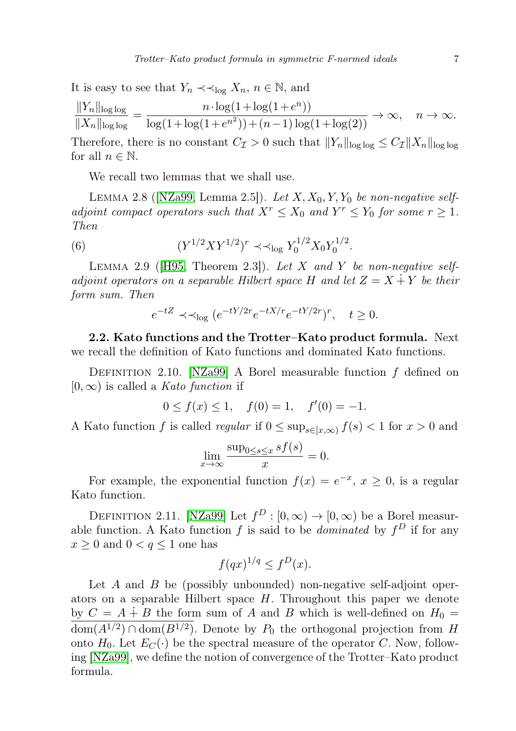It is easy to see that  $Y_n \prec \prec_{\log} X_n$ ,  $n \in \mathbb{N}$ , and

$$
\frac{||Y_n||_{\text{log log}}}{||X_n||_{\text{log log}}} = \frac{n \cdot \log(1 + \log(1 + e^n))}{\log(1 + \log(1 + e^{n^2})) + (n - 1)\log(1 + \log(2))} \to \infty, \quad n \to \infty.
$$

Therefore, there is no constant  $C_{\mathcal{I}} > 0$  such that  $||Y_n||_{\log \log} \leq C_{\mathcal{I}} ||X_n||_{\log \log}$ for all  $n \in \mathbb{N}$ .

We recall two lemmas that we shall use.

<span id="page-6-1"></span>LEMMA 2.8 ([\[NZa99,](#page-23-10) Lemma 2.5]). Let  $X, X_0, Y, Y_0$  be non-negative selfadjoint compact operators such that  $X^r \leq X_0$  and  $Y^r \leq Y_0$  for some  $r \geq 1$ . Then

(6) 
$$
(Y^{1/2}XY^{1/2})^r \prec \text{log } Y_0^{1/2}X_0Y_0^{1/2}.
$$

<span id="page-6-2"></span>LEMMA 2.9 ( $[H95, Theorem 2.3]$  $[H95, Theorem 2.3]$ ). Let X and Y be non-negative selfadjoint operators on a separable Hilbert space H and let  $Z = X + Y$  be their form sum. Then

$$
e^{-tZ} \prec \prec_{\log} (e^{-tY/2r}e^{-tX/r}e^{-tY/2r})^r, \quad t \ge 0.
$$

2.2. Kato functions and the Trotter–Kato product formula. Next we recall the definition of Kato functions and dominated Kato functions.

<span id="page-6-0"></span>DEFINITION 2.10. [\[NZa99\]](#page-23-10) A Borel measurable function  $f$  defined on  $[0, \infty)$  is called a *Kato function* if

$$
0 \le f(x) \le 1, \quad f(0) = 1, \quad f'(0) = -1.
$$

A Kato function f is called regular if  $0 \le \sup_{s \in [x,\infty)} f(s) < 1$  for  $x > 0$  and

$$
\lim_{x \to \infty} \frac{\sup_{0 \le s \le x} s f(s)}{x} = 0.
$$

For example, the exponential function  $f(x) = e^{-x}$ ,  $x \ge 0$ , is a regular Kato function.

DEFINITION 2.11. [\[NZa99\]](#page-23-10) Let  $f^D : [0, \infty) \to [0, \infty)$  be a Borel measurable function. A Kato function f is said to be *dominated* by  $f^D$  if for any  $x \geq 0$  and  $0 < q \leq 1$  one has

$$
f(qx)^{1/q} \le f^D(x).
$$

Let  $A$  and  $B$  be (possibly unbounded) non-negative self-adjoint operators on a separable Hilbert space  $H$ . Throughout this paper we denote by  $C = A \dot{+} B$  the form sum of A and B which is well-defined on  $H_0 =$  $\overline{\text{dom}(A^{1/2}) \cap \text{dom}(B^{1/2})}$ . Denote by  $P_0$  the orthogonal projection from H onto  $H_0$ . Let  $E_C(\cdot)$  be the spectral measure of the operator C. Now, following [\[NZa99\]](#page-23-10), we define the notion of convergence of the Trotter–Kato product formula.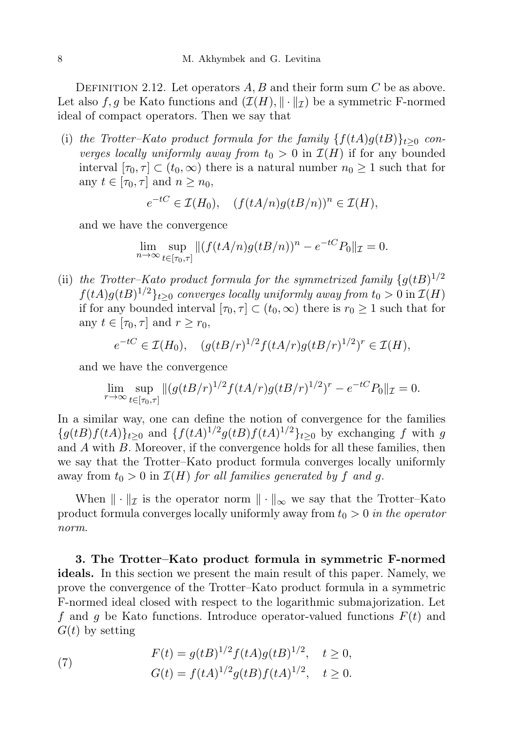<span id="page-7-0"></span>DEFINITION 2.12. Let operators  $A, B$  and their form sum C be as above. Let also f, g be Kato functions and  $(\mathcal{I}(H), \|\cdot\|_{\mathcal{I}})$  be a symmetric F-normed ideal of compact operators. Then we say that

(i) the Trotter–Kato product formula for the family  $\{f(tA)g(tB)\}_{t>0}$  converges locally uniformly away from  $t_0 > 0$  in  $\mathcal{I}(H)$  if for any bounded interval  $[\tau_0, \tau] \subset (t_0, \infty)$  there is a natural number  $n_0 \geq 1$  such that for any  $t \in [\tau_0, \tau]$  and  $n \geq n_0$ ,

$$
e^{-tC} \in \mathcal{I}(H_0), \quad (f(tA/n)g(tB/n))^n \in \mathcal{I}(H),
$$

and we have the convergence

$$
\lim_{n \to \infty} \sup_{t \in [\tau_0, \tau]} \| (f(tA/n)g(tB/n))^n - e^{-tC} P_0 \|_{\mathcal{I}} = 0.
$$

<span id="page-7-2"></span>(ii) the Trotter-Kato product formula for the symmetrized family  $\{g(tB)^{1/2}\}$  $f(tA)g(tB)^{1/2}\}_{t\geq0}$  converges locally uniformly away from  $t_0>0$  in  $\mathcal{I}(H)$ if for any bounded interval  $[\tau_0, \tau] \subset (t_0, \infty)$  there is  $r_0 \geq 1$  such that for any  $t \in [\tau_0, \tau]$  and  $r \ge r_0$ ,

$$
e^{-tC} \in \mathcal{I}(H_0), \quad (g(tB/r)^{1/2}f(tA/r)g(tB/r)^{1/2})^r \in \mathcal{I}(H),
$$

and we have the convergence

$$
\lim_{r \to \infty} \sup_{t \in [\tau_0, \tau]} \| (g(tB/r)^{1/2} f(tA/r)g(tB/r)^{1/2})^r - e^{-tC} P_0 \|_{\mathcal{I}} = 0.
$$

In a similar way, one can define the notion of convergence for the families  ${g(tB)f(tA)}_{t\geq0}$  and  ${f(tA)^{1/2}g(tB)f(tA)^{1/2}}_{t\geq0}$  by exchanging f with g and A with B. Moreover, if the convergence holds for all these families, then we say that the Trotter–Kato product formula converges locally uniformly away from  $t_0 > 0$  in  $\mathcal{I}(H)$  for all families generated by f and g.

When  $\|\cdot\|_{\mathcal{I}}$  is the operator norm  $\|\cdot\|_{\infty}$  we say that the Trotter–Kato product formula converges locally uniformly away from  $t_0 > 0$  in the operator norm.

<span id="page-7-3"></span>3. The Trotter–Kato product formula in symmetric F-normed ideals. In this section we present the main result of this paper. Namely, we prove the convergence of the Trotter–Kato product formula in a symmetric F-normed ideal closed with respect to the logarithmic submajorization. Let f and g be Kato functions. Introduce operator-valued functions  $F(t)$  and  $G(t)$  by setting

<span id="page-7-1"></span>(7) 
$$
F(t) = g(tB)^{1/2} f(tA)g(tB)^{1/2}, \quad t \ge 0,
$$

$$
G(t) = f(tA)^{1/2} g(tB) f(tA)^{1/2}, \quad t \ge 0.
$$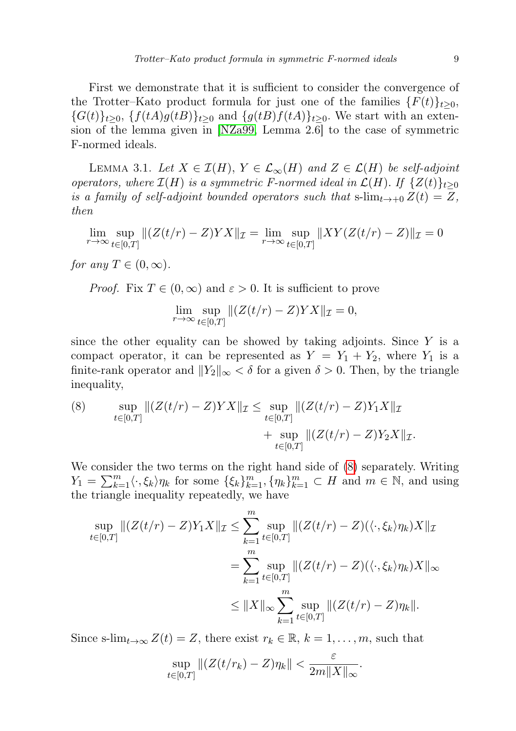First we demonstrate that it is sufficient to consider the convergence of the Trotter–Kato product formula for just one of the families  $\{F(t)\}_t \geq 0$ ,  ${G(t)}_{t\geq0}$ ,  ${f(tA)g(tB)}_{t\geq0}$  and  ${g(tB)f(tA)}_{t\geq0}$ . We start with an extension of the lemma given in [\[NZa99,](#page-23-10) Lemma 2.6] to the case of symmetric F-normed ideals.

<span id="page-8-1"></span>LEMMA 3.1. Let  $X \in \mathcal{I}(H)$ ,  $Y \in \mathcal{L}_{\infty}(H)$  and  $Z \in \mathcal{L}(H)$  be self-adjoint operators, where  $\mathcal{I}(H)$  is a symmetric F-normed ideal in  $\mathcal{L}(H)$ . If  $\{Z(t)\}_{t\geq0}$ is a family of self-adjoint bounded operators such that s- $\lim_{t\to+0} Z(t) = Z$ , then

$$
\lim_{r \to \infty} \sup_{t \in [0,T]} || (Z(t/r) - Z)YX||_{\mathcal{I}} = \lim_{r \to \infty} \sup_{t \in [0,T]} || XY(Z(t/r) - Z) ||_{\mathcal{I}} = 0
$$

for any  $T \in (0, \infty)$ .

*Proof.* Fix  $T \in (0,\infty)$  and  $\varepsilon > 0$ . It is sufficient to prove

$$
\lim_{r \to \infty} \sup_{t \in [0,T]} \|(Z(t/r) - Z)YX\|_{\mathcal{I}} = 0,
$$

since the other equality can be showed by taking adjoints. Since  $Y$  is a compact operator, it can be represented as  $Y = Y_1 + Y_2$ , where  $Y_1$  is a finite-rank operator and  $||Y_2||_{\infty} < \delta$  for a given  $\delta > 0$ . Then, by the triangle inequality,

<span id="page-8-0"></span>(8) 
$$
\sup_{t \in [0,T]} \|(Z(t/r) - Z)YX\|_{\mathcal{I}} \leq \sup_{t \in [0,T]} \|(Z(t/r) - Z)Y_1X\|_{\mathcal{I}} + \sup_{t \in [0,T]} \|(Z(t/r) - Z)Y_2X\|_{\mathcal{I}}.
$$

We consider the two terms on the right hand side of [\(8\)](#page-8-0) separately. Writing  $Y_1 = \sum_{k=1}^m \langle \cdot, \xi_k \rangle \eta_k$  for some  $\{\xi_k\}_{k=1}^m$ ,  $\{\eta_k\}_{k=1}^m \subset H$  and  $m \in \mathbb{N}$ , and using the triangle inequality repeatedly, we have

$$
\sup_{t \in [0,T]} \| (Z(t/r) - Z)Y_1X \|_{\mathcal{I}} \le \sum_{k=1}^m \sup_{t \in [0,T]} \| (Z(t/r) - Z)(\langle \cdot, \xi_k \rangle \eta_k) X \|_{\mathcal{I}}
$$
  

$$
= \sum_{k=1}^m \sup_{t \in [0,T]} \| (Z(t/r) - Z)(\langle \cdot, \xi_k \rangle \eta_k) X \|_{\infty}
$$
  

$$
\le \| X \|_{\infty} \sum_{k=1}^m \sup_{t \in [0,T]} \| (Z(t/r) - Z) \eta_k \|.
$$

Since s-lim<sub>t→∞</sub>  $Z(t) = Z$ , there exist  $r_k \in \mathbb{R}$ ,  $k = 1, \ldots, m$ , such that

$$
\sup_{t\in[0,T]}\| (Z(t/r_k)-Z)\eta_k\| < \frac{\varepsilon}{2m\|X\|_{\infty}}.
$$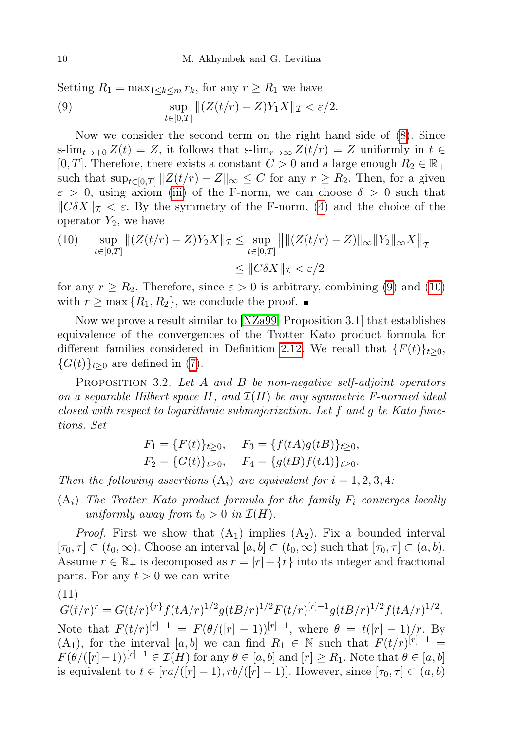<span id="page-9-0"></span>Setting  $R_1 = \max_{1 \leq k \leq m} r_k$ , for any  $r \geq R_1$  we have (9)  $\sup \|(Z(t/r) - Z)Y_1X\|_{\mathcal{I}} < \varepsilon/2.$  $t \in [0,T]$ 

Now we consider the second term on the right hand side of [\(8\)](#page-8-0). Since s-lim<sub>t→+0</sub>  $Z(t) = Z$ , it follows that s-lim<sub>r→∞</sub>  $Z(t/r) = Z$  uniformly in  $t \in$ [0, T]. Therefore, there exists a constant  $C > 0$  and a large enough  $R_2 \in \mathbb{R}_+$ such that  $\sup_{t\in[0,T]}\|Z(t/r)-Z\|_{\infty}\leq C$  for any  $r\geq R_2$ . Then, for a given  $\varepsilon > 0$ , using axiom [\(iii\)](#page-2-0) of the F-norm, we can choose  $\delta > 0$  such that  $\|\mathcal{C}\delta X\|_{\mathcal{I}} < \varepsilon$ . By the symmetry of the F-norm, [\(4\)](#page-4-3) and the choice of the operator  $Y_2$ , we have

<span id="page-9-1"></span>(10) 
$$
\sup_{t \in [0,T]} ||(Z(t/r) - Z)Y_2X||_{\mathcal{I}} \leq \sup_{t \in [0,T]} ||||(Z(t/r) - Z)||_{\infty} ||Y_2||_{\infty} X||_{\mathcal{I}}
$$

$$
\leq ||C\delta X||_{\mathcal{I}} < \varepsilon/2
$$

for any  $r \ge R_2$ . Therefore, since  $\varepsilon > 0$  is arbitrary, combining [\(9\)](#page-9-0) and [\(10\)](#page-9-1) with  $r \geq \max\{R_1, R_2\}$ , we conclude the proof.

Now we prove a result similar to [\[NZa99,](#page-23-10) Proposition 3.1] that establishes equivalence of the convergences of the Trotter–Kato product formula for different families considered in Definition [2.12.](#page-7-0) We recall that  $\{F(t)\}_{t\geq0}$ ,  ${G(t)}_{t>0}$  are defined in [\(7\)](#page-7-1).

<span id="page-9-3"></span>PROPOSITION 3.2. Let A and B be non-negative self-adjoint operators on a separable Hilbert space H, and  $\mathcal{I}(H)$  be any symmetric F-normed ideal closed with respect to logarithmic submajorization. Let f and g be Kato functions. Set

<span id="page-9-2"></span>
$$
F_1 = \{F(t)\}_{t\geq 0}, \quad F_3 = \{f(tA)g(tB)\}_{t\geq 0},
$$
  
\n
$$
F_2 = \{G(t)\}_{t\geq 0}, \quad F_4 = \{g(tB)f(tA)\}_{t\geq 0}.
$$

Then the following assertions  $(A_i)$  are equivalent for  $i = 1, 2, 3, 4$ :

 $(A_i)$  The Trotter–Kato product formula for the family  $F_i$  converges locally uniformly away from  $t_0 > 0$  in  $\mathcal{I}(H)$ .

*Proof.* First we show that  $(A_1)$  implies  $(A_2)$ . Fix a bounded interval  $[\tau_0, \tau] \subset (t_0, \infty)$ . Choose an interval  $[a, b] \subset (t_0, \infty)$  such that  $[\tau_0, \tau] \subset (a, b)$ . Assume  $r \in \mathbb{R}_+$  is decomposed as  $r = [r] + \{r\}$  into its integer and fractional parts. For any  $t > 0$  we can write

(11)

$$
G(t/r)^r = G(t/r)^{\{r\}} f(tA/r)^{1/2} g(tB/r)^{1/2} F(t/r)^{[r]-1} g(tB/r)^{1/2} f(tA/r)^{1/2}.
$$
  
Note that  $F(t/r)^{[r]-1} = F(\theta/([r]-1))^{[r]-1}$ , where  $\theta = t([r]-1)/r$ . By  
(A<sub>1</sub>), for the interval [a, b] we can find  $R_1 \in \mathbb{N}$  such that  $F(t/r)^{[r]-1} =$   
 $F(\theta/([r]-1))^{[r]-1} \in \mathcal{I}(H)$  for any  $\theta \in [a, b]$  and  $[r] \ge R_1$ . Note that  $\theta \in [a, b]$   
is equivalent to  $t \in [ra/([r]-1), rb/([r]-1)]$ . However, since  $[\tau_0, \tau] \subset (a, b)$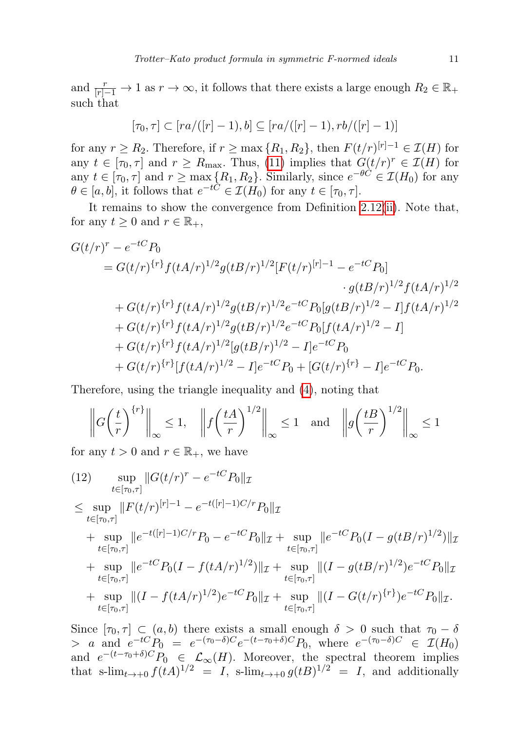and  $\frac{r}{[r]-1} \to 1$  as  $r \to \infty$ , it follows that there exists a large enough  $R_2 \in \mathbb{R}_+$ such that

$$
[\tau_0,\tau] \subset [r a/([r]-1),b] \subseteq [r a/([r]-1),rb/([r]-1)]
$$

for any  $r \geq R_2$ . Therefore, if  $r \geq \max\{R_1, R_2\}$ , then  $F(t/r)^{[r]-1} \in \mathcal{I}(H)$  for any  $t \in [\tau_0, \tau]$  and  $r \ge R_{\text{max}}$ . Thus, [\(11\)](#page-9-2) implies that  $G(t/r)^r \in \mathcal{I}(H)$  for any  $t \in [\tau_0, \tau]$  and  $r \ge \max\{R_1, R_2\}$ . Similarly, since  $e^{-\theta C} \in \mathcal{I}(H_0)$  for any  $\theta \in [a, b]$ , it follows that  $e^{-tC} \in \mathcal{I}(H_0)$  for any  $t \in [\tau_0, \tau]$ .

It remains to show the convergence from Definition [2.12\(](#page-7-0)[ii\)](#page-7-2). Note that, for any  $t \geq 0$  and  $r \in \mathbb{R}_+$ ,

$$
G(t/r)^r - e^{-tC}P_0
$$
  
=  $G(t/r)^{\{r\}}f(tA/r)^{1/2}g(tB/r)^{1/2}[F(t/r)^{[r]-1} - e^{-tC}P_0]$   
 $\qquad \qquad \cdot g(tB/r)^{1/2}f(tA/r)^{1/2}$   
+  $G(t/r)^{\{r\}}f(tA/r)^{1/2}g(tB/r)^{1/2}e^{-tC}P_0[g(tB/r)^{1/2} - I]f(tA/r)^{1/2}$   
+  $G(t/r)^{\{r\}}f(tA/r)^{1/2}g(tB/r)^{1/2}e^{-tC}P_0[f(tA/r)^{1/2} - I]$   
+  $G(t/r)^{\{r\}}f(tA/r)^{1/2}[g(tB/r)^{1/2} - I]e^{-tC}P_0$   
+  $G(t/r)^{\{r\}}[f(tA/r)^{1/2} - I]e^{-tC}P_0 + [G(t/r)^{\{r\}} - I]e^{-tC}P_0.$ 

Therefore, using the triangle inequality and [\(4\)](#page-4-3), noting that

$$
\left\| G \left( \frac{t}{r} \right)^{\{r\}} \right\|_{\infty} \le 1, \quad \left\| f \left( \frac{tA}{r} \right)^{1/2} \right\|_{\infty} \le 1 \quad \text{and} \quad \left\| g \left( \frac{tB}{r} \right)^{1/2} \right\|_{\infty} \le 1
$$

for any  $t > 0$  and  $r \in \mathbb{R}_+$ , we have

<span id="page-10-0"></span>(12) 
$$
\sup_{t \in [\tau_0, \tau]} \|G(t/r)^r - e^{-tC} P_0\|_{\mathcal{I}}
$$
  
\n
$$
\leq \sup_{t \in [\tau_0, \tau]} \|F(t/r)^{[r]-1} - e^{-t([r]-1)C/r} P_0\|_{\mathcal{I}}
$$
  
\n
$$
+ \sup_{t \in [\tau_0, \tau]} \|e^{-t([r]-1)C/r} P_0 - e^{-tC} P_0\|_{\mathcal{I}} + \sup_{t \in [\tau_0, \tau]} \|e^{-tC} P_0 (I - g(tB/r)^{1/2})\|_{\mathcal{I}}
$$
  
\n
$$
+ \sup_{t \in [\tau_0, \tau]} \|e^{-tC} P_0 (I - f(tA/r)^{1/2})\|_{\mathcal{I}} + \sup_{t \in [\tau_0, \tau]} \|(I - g(tB/r)^{1/2})e^{-tC} P_0\|_{\mathcal{I}}
$$
  
\n
$$
+ \sup_{t \in [\tau_0, \tau]} \|(I - f(tA/r)^{1/2})e^{-tC} P_0\|_{\mathcal{I}} + \sup_{t \in [\tau_0, \tau]} \|(I - G(t/r)^{\{r\}})e^{-tC} P_0\|_{\mathcal{I}}.
$$

Since  $[\tau_0, \tau] \subset (a, b)$  there exists a small enough  $\delta > 0$  such that  $\tau_0 - \delta$  $> a$  and  $e^{-tC}P_0 = e^{-(\tau_0-\delta)C}e^{-(t-\tau_0+\delta)C}P_0$ , where  $e^{-(\tau_0-\delta)C} \in \mathcal{I}(H_0)$ and  $e^{-(t-\tau_0+\delta)C}P_0 \in \mathcal{L}_{\infty}(H)$ . Moreover, the spectral theorem implies that s- $\lim_{t\to 0} f(tA)^{1/2} = I$ , s- $\lim_{t\to 0} g(tB)^{1/2} = I$ , and additionally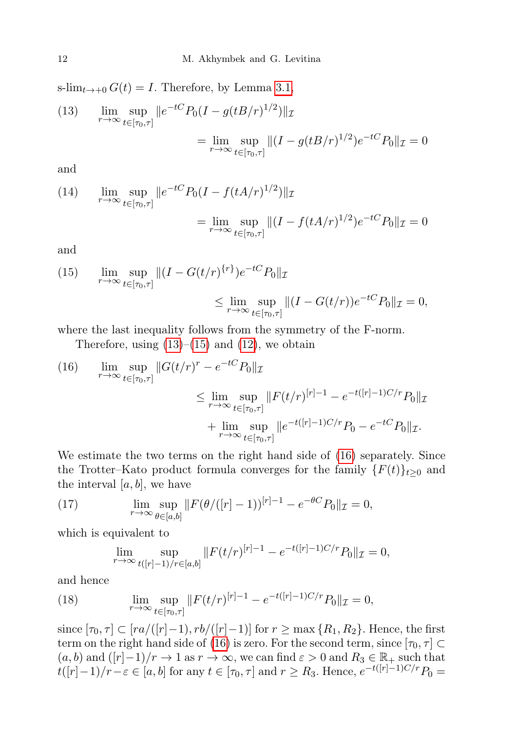<span id="page-11-0"></span>s-lim<sub>t→+0</sub>  $G(t) = I$ . Therefore, by Lemma [3.1,](#page-8-1)  $(13)$   $\lim_{r\to\infty} \sup_{t\in[\tau_0,\tau]}$  $_{t\in [\tau_0,\tau]}$  $||e^{-tC}P_0(I-g(tB/r)^{1/2})||_1$  $=\lim_{r\to\infty}\sup_{t\in[\tau_0,r]}$  $t \in [\tau_0, \tau]$  $||(I - g(tB/r)^{1/2})e^{-tC}P_0||_{\mathcal{I}} = 0$ 

and

(14) 
$$
\lim_{r \to \infty} \sup_{t \in [\tau_0, \tau]} \|e^{-tC} P_0 (I - f(tA/r)^{1/2})\|_{\mathcal{I}} \n= \lim_{r \to \infty} \sup_{t \in [\tau_0, \tau]} \|(I - f(tA/r)^{1/2})e^{-tC} P_0\|_{\mathcal{I}} = 0
$$

and

<span id="page-11-1"></span>(15) 
$$
\lim_{r \to \infty} \sup_{t \in [\tau_0, \tau]} \|(I - G(t/r)^{\{r\}})e^{-tC}P_0\|_{\mathcal{I}} \leq \lim_{r \to \infty} \sup_{t \in [\tau_0, \tau]} \|(I - G(t/r))e^{-tC}P_0\|_{\mathcal{I}} = 0,
$$

where the last inequality follows from the symmetry of the F-norm.

Therefore, using  $(13)$ – $(15)$  and  $(12)$ , we obtain

<span id="page-11-2"></span>(16) 
$$
\lim_{r \to \infty} \sup_{t \in [\tau_0, \tau]} \|G(t/r)^r - e^{-tC} P_0\|_{\mathcal{I}} \n\leq \lim_{r \to \infty} \sup_{t \in [\tau_0, \tau]} \|F(t/r)^{[r]-1} - e^{-t([r]-1)C/r} P_0\|_{\mathcal{I}} \n+ \lim_{r \to \infty} \sup_{t \in [\tau_0, \tau]} \|e^{-t([r]-1)C/r} P_0 - e^{-tC} P_0\|_{\mathcal{I}}.
$$

We estimate the two terms on the right hand side of [\(16\)](#page-11-2) separately. Since the Trotter–Kato product formula converges for the family  $\{F(t)\}_{t\geq0}$  and the interval  $[a, b]$ , we have

(17) 
$$
\lim_{r \to \infty} \sup_{\theta \in [a,b]} \|F(\theta/([r]-1))^{[r]-1} - e^{-\theta C} P_0\|_{\mathcal{I}} = 0,
$$

which is equivalent to

<span id="page-11-3"></span>
$$
\lim_{r \to \infty} \sup_{t([r]-1)/r \in [a,b]} \|F(t/r)^{[r]-1} - e^{-t([r]-1)C/r} P_0\|_{\mathcal{I}} = 0,
$$

and hence

(18) 
$$
\lim_{r \to \infty} \sup_{t \in [\tau_0, \tau]} \|F(t/r)^{[r]-1} - e^{-t([r]-1)C/r} P_0\|_{\mathcal{I}} = 0,
$$

since  $[\tau_0, \tau] \subset [ra/([r]-1), rb/([r]-1)]$  for  $r \ge \max\{R_1, R_2\}$ . Hence, the first term on the right hand side of [\(16\)](#page-11-2) is zero. For the second term, since  $[\tau_0, \tau] \subset$  $(a, b)$  and  $([r]-1)/r \to 1$  as  $r \to \infty$ , we can find  $\varepsilon > 0$  and  $R_3 \in \mathbb{R}_+$  such that  $t([r]-1)/r-\varepsilon \in [a,b]$  for any  $t \in [\tau_0,\tau]$  and  $r \geq R_3$ . Hence,  $e^{-t([r]-1)C/r}P_0 =$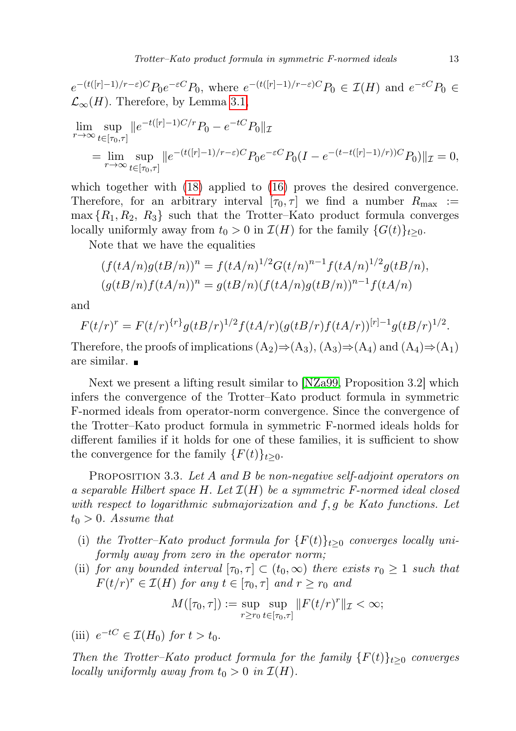$e^{-(t([r]-1)/r-\varepsilon)C}P_0e^{-\varepsilon C}P_0$ , where  $e^{-(t([r]-1)/r-\varepsilon)C}P_0 \in \mathcal{I}(H)$  and  $e^{-\varepsilon C}P_0 \in$  $\mathcal{L}_{\infty}(H)$ . Therefore, by Lemma [3.1,](#page-8-1)

$$
\lim_{r \to \infty} \sup_{t \in [\tau_0, \tau]} \|e^{-t([r] - 1)C/r} P_0 - e^{-tC} P_0\|_{\mathcal{I}}\n= \lim_{r \to \infty} \sup_{t \in [\tau_0, \tau]} \|e^{-(t([r] - 1)/r - \varepsilon)C} P_0 e^{-\varepsilon C} P_0(I - e^{-(t - t([r] - 1)/r))C} P_0\|_{\mathcal{I}} = 0,
$$

which together with  $(18)$  applied to  $(16)$  proves the desired convergence. Therefore, for an arbitrary interval  $[\tau_0, \tau]$  we find a number  $R_{\text{max}}$  :=  $\max\{R_1, R_2, R_3\}$  such that the Trotter–Kato product formula converges locally uniformly away from  $t_0 > 0$  in  $\mathcal{I}(H)$  for the family  $\{G(t)\}_{t \geq 0}$ .

Note that we have the equalities

$$
(f(tA/n)g(tB/n))^n = f(tA/n)^{1/2}G(t/n)^{n-1}f(tA/n)^{1/2}g(tB/n),
$$
  
\n
$$
(g(tB/n)f(tA/n))^n = g(tB/n)(f(tA/n)g(tB/n))^{n-1}f(tA/n)
$$

and

$$
F(t/r)^r = F(t/r)^{\{r\}} g(tB/r)^{1/2} f(tA/r) (g(tB/r) f(tA/r))^{[r]-1} g(tB/r)^{1/2}.
$$

Therefore, the proofs of implications  $(A_2) \Rightarrow (A_3)$ ,  $(A_3) \Rightarrow (A_4)$  and  $(A_4) \Rightarrow (A_1)$ are similar.

Next we present a lifting result similar to [\[NZa99,](#page-23-10) Proposition 3.2] which infers the convergence of the Trotter–Kato product formula in symmetric F-normed ideals from operator-norm convergence. Since the convergence of the Trotter–Kato product formula in symmetric F-normed ideals holds for different families if it holds for one of these families, it is sufficient to show the convergence for the family  $\{F(t)\}_{t\geq 0}$ .

<span id="page-12-2"></span>PROPOSITION 3.3. Let A and B be non-negative self-adjoint operators on a separable Hilbert space H. Let  $\mathcal{I}(H)$  be a symmetric F-normed ideal closed with respect to logarithmic submajorization and f, g be Kato functions. Let  $t_0 > 0$ . Assume that

- (i) the Trotter–Kato product formula for  $\{F(t)\}_{t\geq0}$  converges locally uniformly away from zero in the operator norm;
- <span id="page-12-0"></span>(ii) for any bounded interval  $[\tau_0, \tau] \subset (t_0, \infty)$  there exists  $r_0 \geq 1$  such that  $F(t/r)^r \in \mathcal{I}(H)$  for any  $t \in [\tau_0, \tau]$  and  $r \ge r_0$  and

$$
M([\tau_0, \tau]) := \sup_{r \ge r_0} \sup_{t \in [\tau_0, \tau]} \|F(t/r)^r\|_{\mathcal{I}} < \infty;
$$

<span id="page-12-1"></span>(iii)  $e^{-tC} \in \mathcal{I}(H_0)$  for  $t > t_0$ .

Then the Trotter–Kato product formula for the family  ${F(t)}_{t\geq0}$  converges locally uniformly away from  $t_0 > 0$  in  $\mathcal{I}(H)$ .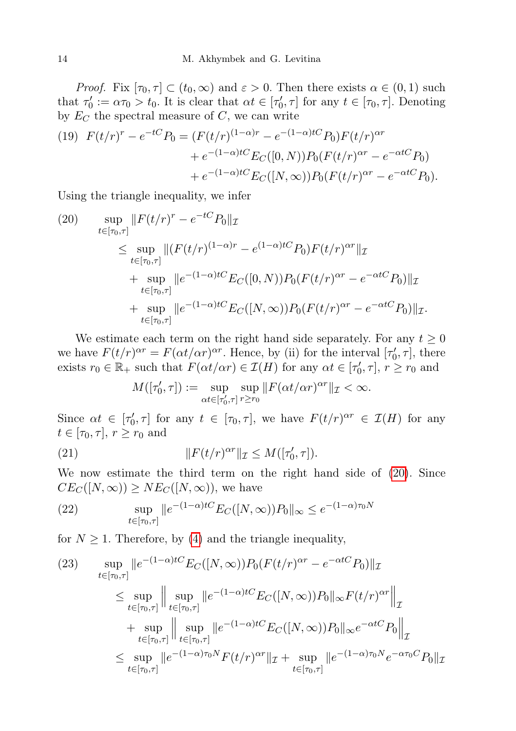*Proof.* Fix  $[\tau_0, \tau] \subset (t_0, \infty)$  and  $\varepsilon > 0$ . Then there exists  $\alpha \in (0, 1)$  such that  $\tau'_0 := \alpha \tau_0 > t_0$ . It is clear that  $\alpha t \in [\tau'_0, \tau]$  for any  $t \in [\tau_0, \tau]$ . Denoting by  $E_C$  the spectral measure of  $C$ , we can write

(19) 
$$
F(t/r)^r - e^{-tC}P_0 = (F(t/r)^{(1-\alpha)r} - e^{-(1-\alpha)tC}P_0)F(t/r)^{\alpha r} + e^{-(1-\alpha)tC}E_C([0, N))P_0(F(t/r)^{\alpha r} - e^{-\alpha tC}P_0) + e^{-(1-\alpha)tC}E_C([N, \infty))P_0(F(t/r)^{\alpha r} - e^{-\alpha tC}P_0).
$$

Using the triangle inequality, we infer

<span id="page-13-0"></span>(20) 
$$
\sup_{t \in [\tau_0, \tau]} \|F(t/r)^r - e^{-tC} P_0\|_{\mathcal{I}} \n\leq \sup_{t \in [\tau_0, \tau]} \|(F(t/r)^{(1-\alpha)r} - e^{(1-\alpha)tC} P_0) F(t/r)^{\alpha r} \|_{\mathcal{I}} \n+ \sup_{t \in [\tau_0, \tau]} \|e^{-(1-\alpha)tC} E_C([0, N)) P_0(F(t/r)^{\alpha r} - e^{-\alpha tC} P_0) \|_{\mathcal{I}} \n+ \sup_{t \in [\tau_0, \tau]} \|e^{-(1-\alpha)tC} E_C([N, \infty)) P_0(F(t/r)^{\alpha r} - e^{-\alpha tC} P_0) \|_{\mathcal{I}}.
$$

We estimate each term on the right hand side separately. For any  $t \geq 0$ we have  $F(t/r)^{\alpha r} = F(\alpha t/\alpha r)^{\alpha r}$ . Hence, by (ii) for the interval  $[\tau'_0, \tau]$ , there exists  $r_0 \in \mathbb{R}_+$  such that  $F(\alpha t/\alpha r) \in \mathcal{I}(H)$  for any  $\alpha t \in [\tau'_0, \tau], r \geq r_0$  and

<span id="page-13-1"></span>
$$
M([\tau'_0, \tau]) := \sup_{\alpha t \in [\tau'_0, \tau]} \sup_{r \ge r_0} ||F(\alpha t/\alpha r)^{\alpha r}||_{\mathcal{I}} < \infty.
$$

Since  $\alpha t \in [\tau_0', \tau]$  for any  $t \in [\tau_0, \tau]$ , we have  $F(t/r)^{\alpha r} \in \mathcal{I}(H)$  for any  $t \in [\tau_0, \tau], r \geq r_0$  and

(21) 
$$
||F(t/r)^{\alpha r}||_{\mathcal{I}} \leq M([\tau'_0, \tau]).
$$

We now estimate the third term on the right hand side of [\(20\)](#page-13-0). Since  $CE_C([N,\infty)) \geq NE_C([N,\infty))$ , we have

(22) 
$$
\sup_{t \in [\tau_0, \tau]} \|e^{-(1-\alpha)tC} E_C([N, \infty))P_0\|_{\infty} \le e^{-(1-\alpha)\tau_0 N}
$$

for  $N \geq 1$ . Therefore, by [\(4\)](#page-4-3) and the triangle inequality,

(23) 
$$
\sup_{t \in [\tau_0, \tau]} \|e^{-(1-\alpha)tC} E_C([N, \infty)) P_0(F(t/r)^{\alpha r} - e^{-\alpha tC} P_0) \|_{\mathcal{I}} \n\leq \sup_{t \in [\tau_0, \tau]} \left\| \sup_{t \in [\tau_0, \tau]} \|e^{-(1-\alpha)tC} E_C([N, \infty)) P_0\|_{\infty} F(t/r)^{\alpha r} \right\|_{\mathcal{I}} \n+ \sup_{t \in [\tau_0, \tau]} \left\| \sup_{t \in [\tau_0, \tau]} \|e^{-(1-\alpha)tC} E_C([N, \infty)) P_0\|_{\infty} e^{-\alpha tC} P_0 \right\|_{\mathcal{I}} \n\leq \sup_{t \in [\tau_0, \tau]} \|e^{-(1-\alpha)\tau_0 N} F(t/r)^{\alpha r} \|_{\mathcal{I}} + \sup_{t \in [\tau_0, \tau]} \|e^{-(1-\alpha)\tau_0 N} e^{-\alpha \tau_0 C} P_0 \|_{\mathcal{I}}
$$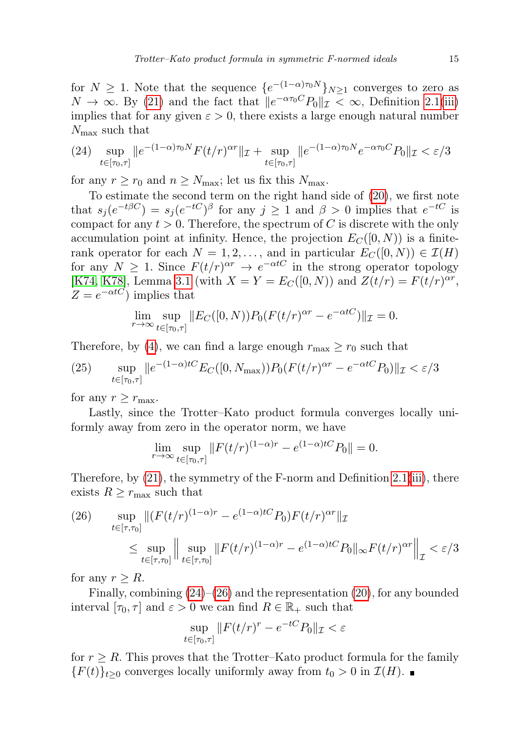for  $N \geq 1$ . Note that the sequence  $\{e^{-(1-\alpha)\tau_0 N}\}_{N\geq 1}$  converges to zero as  $N \to \infty$ . By [\(21\)](#page-13-1) and the fact that  $||e^{-\alpha \tau_0 C} P_0||_{\mathcal{I}} < \infty$ , Definition [2.1](#page-2-1)[\(iii\)](#page-2-0) implies that for any given  $\varepsilon > 0$ , there exists a large enough natural number  $N_{\text{max}}$  such that

<span id="page-14-0"></span>(24) 
$$
\sup_{t \in [\tau_0, \tau]} \|e^{-(1-\alpha)\tau_0 N} F(t/r)^{\alpha r} \|_{\mathcal{I}} + \sup_{t \in [\tau_0, \tau]} \|e^{-(1-\alpha)\tau_0 N} e^{-\alpha \tau_0 C} P_0 \|_{\mathcal{I}} < \varepsilon / 3
$$

for any  $r \ge r_0$  and  $n \ge N_{\text{max}}$ ; let us fix this  $N_{\text{max}}$ .

To estimate the second term on the right hand side of [\(20\)](#page-13-0), we first note that  $s_j(e^{-t\beta C}) = s_j(e^{-tC})^{\beta}$  for any  $j \ge 1$  and  $\beta > 0$  implies that  $e^{-tC}$  is compact for any  $t > 0$ . Therefore, the spectrum of C is discrete with the only accumulation point at infinity. Hence, the projection  $E_C([0, N))$  is a finiterank operator for each  $N = 1, 2, \ldots$ , and in particular  $E_C([0, N)) \in \mathcal{I}(H)$ for any  $N \geq 1$ . Since  $F(t/r)^{\alpha r} \to e^{-\alpha tC}$  in the strong operator topology [\[K74,](#page-23-3) [K78\]](#page-23-2), Lemma [3.1](#page-8-1) (with  $X = Y = E_C([0, N))$  and  $Z(t/r) = F(t/r)^{\alpha r}$ ,  $Z = e^{-\alpha tC}$  implies that

$$
\lim_{r \to \infty} \sup_{t \in [\tau_0, \tau]} \|E_C([0, N)) P_0(F(t/r)^{\alpha r} - e^{-\alpha t C})\|_{\mathcal{I}} = 0.
$$

Therefore, by [\(4\)](#page-4-3), we can find a large enough  $r_{\text{max}} \geq r_0$  such that

(25) 
$$
\sup_{t \in [\tau_0, \tau]} \|e^{-(1-\alpha)tC} E_C([0, N_{\max})) P_0(F(t/r)^{\alpha r} - e^{-\alpha tC} P_0) \|_{\mathcal{I}} < \varepsilon/3
$$

for any  $r \geq r_{\text{max}}$ .

Lastly, since the Trotter–Kato product formula converges locally uniformly away from zero in the operator norm, we have

$$
\lim_{r \to \infty} \sup_{t \in [\tau_0, \tau]} \|F(t/r)^{(1-\alpha)r} - e^{(1-\alpha)tC} P_0\| = 0.
$$

Therefore, by  $(21)$ , the symmetry of the F-norm and Definition [2.1](#page-2-1)[\(iii\)](#page-2-0), there exists  $R \geq r_{\text{max}}$  such that

<span id="page-14-1"></span>(26) 
$$
\sup_{t \in [\tau, \tau_0]} \| (F(t/r)^{(1-\alpha)r} - e^{(1-\alpha)tC} P_0) F(t/r)^{\alpha r} \|_{\mathcal{I}} \\ \leq \sup_{t \in [\tau, \tau_0]} \left\| \sup_{t \in [\tau, \tau_0]} \| F(t/r)^{(1-\alpha)r} - e^{(1-\alpha)tC} P_0 \|_{\infty} F(t/r)^{\alpha r} \right\|_{\mathcal{I}} < \varepsilon / 3
$$

for any  $r \geq R$ .

Finally, combining [\(24\)](#page-14-0)–[\(26\)](#page-14-1) and the representation [\(20\)](#page-13-0), for any bounded interval  $[\tau_0, \tau]$  and  $\varepsilon > 0$  we can find  $R \in \mathbb{R}_+$  such that

$$
\sup_{t \in [\tau_0, \tau]} \|F(t/r)^r - e^{-tC} P_0\|_{\mathcal{I}} < \varepsilon
$$

for  $r \geq R$ . This proves that the Trotter–Kato product formula for the family  ${F(t)}_{t>0}$  converges locally uniformly away from  $t_0 > 0$  in  $\mathcal{I}(H)$ .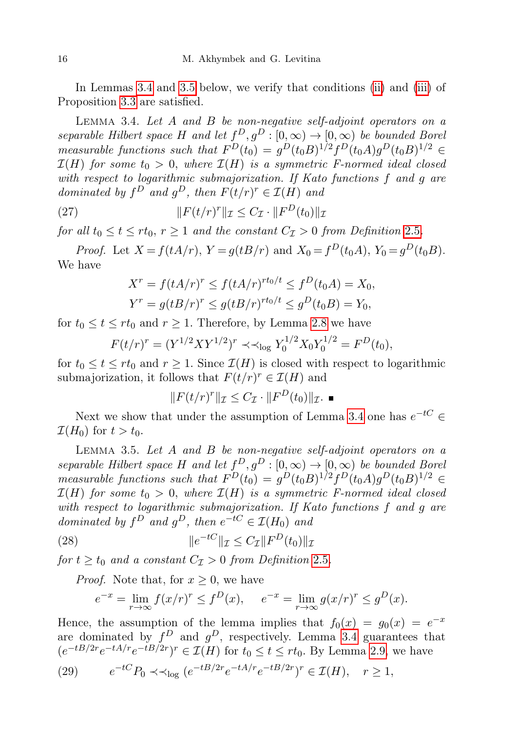In Lemmas [3.4](#page-15-0) and [3.5](#page-15-1) below, we verify that conditions [\(ii\)](#page-12-0) and [\(iii\)](#page-12-1) of Proposition [3.3](#page-12-2) are satisfied.

<span id="page-15-0"></span>LEMMA 3.4. Let  $A$  and  $B$  be non-negative self-adjoint operators on a separable Hilbert space H and let  $f^D, g^D : [0, \infty) \to [0, \infty)$  be bounded Borel measurable functions such that  $F^D(t_0) = g^D(t_0 B)^{1/2} f^D(t_0 A) g^D(t_0 B)^{1/2} \in$  $\mathcal{I}(H)$  for some  $t_0 > 0$ , where  $\mathcal{I}(H)$  is a symmetric F-normed ideal closed with respect to logarithmic submajorization. If Kato functions f and g are dominated by  $f^D$  and  $g^D$ , then  $F(t/r)^r \in \mathcal{I}(H)$  and

(27) 
$$
||F(t/r)^{r}||_{\mathcal{I}} \leq C_{\mathcal{I}} \cdot ||F^{D}(t_0)||_{\mathcal{I}}
$$

for all  $t_0 \le t \le rt_0$ ,  $r \ge 1$  and the constant  $C_{\mathcal{I}} > 0$  from Definition [2](#page-4-1).5.

*Proof.* Let  $X = f(tA/r)$ ,  $Y = g(tB/r)$  and  $X_0 = f^D(t_0A)$ ,  $Y_0 = g^D(t_0B)$ . We have

$$
X^r = f(tA/r)^r \le f(tA/r)^{rt_0/t} \le f^D(t_0A) = X_0,
$$
  
\n
$$
Y^r = g(tB/r)^r \le g(tB/r)^{rt_0/t} \le g^D(t_0B) = Y_0,
$$

for  $t_0 \le t \le rt_0$  and  $r \ge 1$ . Therefore, by Lemma [2.8](#page-6-1) we have

$$
F(t/r)^r = (Y^{1/2}XY^{1/2})^r \prec \prec_{\log} Y_0^{1/2}X_0Y_0^{1/2} = F^D(t_0),
$$

for  $t_0 \leq t \leq rt_0$  and  $r \geq 1$ . Since  $\mathcal{I}(H)$  is closed with respect to logarithmic submajorization, it follows that  $F(t/r)^r \in \mathcal{I}(H)$  and

<span id="page-15-3"></span>
$$
||F(t/r)^r||_{\mathcal{I}} \leq C_{\mathcal{I}} \cdot ||F^D(t_0)||_{\mathcal{I}}.\blacksquare
$$

Next we show that under the assumption of Lemma [3.4](#page-15-0) one has  $e^{-tC} \in$  $\mathcal{I}(H_0)$  for  $t > t_0$ .

<span id="page-15-1"></span>LEMMA 3.5. Let  $A$  and  $B$  be non-negative self-adjoint operators on a separable Hilbert space H and let  $f^D, g^D : [0, \infty) \to [0, \infty)$  be bounded Borel measurable functions such that  $F^D(t_0) = g^D(t_0 B)^{1/2} f^D(t_0 A) g^D(t_0 B)^{1/2} \in$  $\mathcal{I}(H)$  for some  $t_0 > 0$ , where  $\mathcal{I}(H)$  is a symmetric F-normed ideal closed with respect to logarithmic submajorization. If Kato functions f and g are dominated by  $f^D$  and  $g^D$ , then  $e^{-tC} \in \mathcal{I}(H_0)$  and

(28) 
$$
||e^{-tC}||_{\mathcal{I}} \leq C_{\mathcal{I}}||F^{D}(t_{0})||_{\mathcal{I}}
$$

for  $t \geq t_0$  and a constant  $C_{\mathcal{I}} > 0$  from Definition [2](#page-4-1).5.

*Proof.* Note that, for  $x \geq 0$ , we have

<span id="page-15-2"></span>
$$
e^{-x} = \lim_{r \to \infty} f(x/r)^r \le f^D(x), \quad e^{-x} = \lim_{r \to \infty} g(x/r)^r \le g^D(x).
$$

Hence, the assumption of the lemma implies that  $f_0(x) = g_0(x) = e^{-x}$ are dominated by  $f^D$  and  $g^D$ , respectively. Lemma [3.4](#page-15-0) guarantees that  $(e^{-tB/2r}e^{-tA/r}e^{-tB/2r})^r \in \mathcal{I}(H)$  for  $t_0 \le t \le rt_0$ . By Lemma [2.9,](#page-6-2) we have

(29) 
$$
e^{-tC}P_0 \prec \prec_{\log} (e^{-tB/2r}e^{-tA/r}e^{-tB/2r})^r \in \mathcal{I}(H), \quad r \ge 1,
$$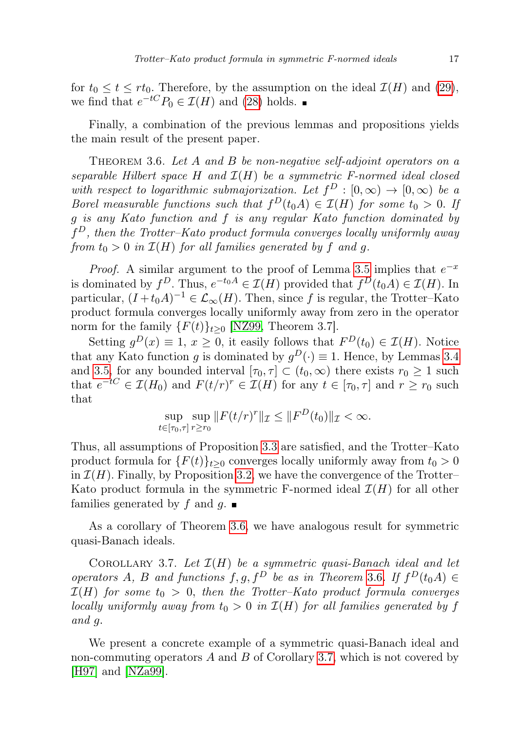for  $t_0 \le t \le rt_0$ . Therefore, by the assumption on the ideal  $\mathcal{I}(H)$  and [\(29\)](#page-15-2), we find that  $e^{-tC}P_0 \in \mathcal{I}(H)$  and [\(28\)](#page-15-3) holds.

Finally, a combination of the previous lemmas and propositions yields the main result of the present paper.

<span id="page-16-0"></span>THEOREM 3.6. Let A and B be non-negative self-adjoint operators on a separable Hilbert space H and  $\mathcal{I}(H)$  be a symmetric F-normed ideal closed with respect to logarithmic submajorization. Let  $f^D : [0, \infty) \to [0, \infty)$  be a Borel measurable functions such that  $f^{D}(t_{0}A) \in \mathcal{I}(H)$  for some  $t_{0} > 0$ . If g is any Kato function and f is any regular Kato function dominated by  $f<sup>D</sup>$ , then the Trotter–Kato product formula converges locally uniformly away from  $t_0 > 0$  in  $\mathcal{I}(H)$  for all families generated by f and g.

*Proof.* A similar argument to the proof of Lemma [3.5](#page-15-1) implies that  $e^{-x}$ is dominated by  $f^D$ . Thus,  $e^{-t_0 A} \in \mathcal{I}(H)$  provided that  $f^D(t_0 A) \in \mathcal{I}(H)$ . In particular,  $(I + t_0 A)^{-1} \in \mathcal{L}_{\infty}(H)$ . Then, since f is regular, the Trotter–Kato product formula converges locally uniformly away from zero in the operator norm for the family  $\{F(t)\}_{t>0}$  [\[NZ99,](#page-23-5) Theorem 3.7].

Setting  $g^D(x) \equiv 1, x \ge 0$ , it easily follows that  $F^D(t_0) \in \mathcal{I}(H)$ . Notice that any Kato function g is dominated by  $g^D(\cdot) \equiv 1$ . Hence, by Lemmas [3.4](#page-15-0) and [3.5,](#page-15-1) for any bounded interval  $[\tau_0, \tau] \subset (t_0, \infty)$  there exists  $r_0 \geq 1$  such that  $e^{-tC} \in \mathcal{I}(H_0)$  and  $F(t/r)^r \in \mathcal{I}(H)$  for any  $t \in [\tau_0, \tau]$  and  $r \ge r_0$  such that

$$
\sup_{t \in [\tau_0, \tau]} \sup_{r \ge r_0} \|F(t/r)^r\|_{\mathcal{I}} \le \|F^D(t_0)\|_{\mathcal{I}} < \infty.
$$

Thus, all assumptions of Proposition [3.3](#page-12-2) are satisfied, and the Trotter–Kato product formula for  ${F(t)}_{t>0}$  converges locally uniformly away from  $t_0 > 0$ in  $\mathcal{I}(H)$ . Finally, by Proposition [3.2,](#page-9-3) we have the convergence of the Trotter– Kato product formula in the symmetric F-normed ideal  $\mathcal{I}(H)$  for all other families generated by f and g.  $\blacksquare$ 

As a corollary of Theorem [3.6,](#page-16-0) we have analogous result for symmetric quasi-Banach ideals.

<span id="page-16-1"></span>COROLLARY 3.7. Let  $\mathcal{I}(H)$  be a symmetric quasi-Banach ideal and let operators A, B and functions  $f, g, f^D$  be as in Theorem [3](#page-16-0).6. If  $f^D(t_0A) \in$  $\mathcal{I}(H)$  for some  $t_0 > 0$ , then the Trotter–Kato product formula converges locally uniformly away from  $t_0 > 0$  in  $\mathcal{I}(H)$  for all families generated by f and g.

We present a concrete example of a symmetric quasi-Banach ideal and non-commuting operators  $A$  and  $B$  of Corollary [3.7,](#page-16-1) which is not covered by [\[H97\]](#page-23-9) and [\[NZa99\]](#page-23-10).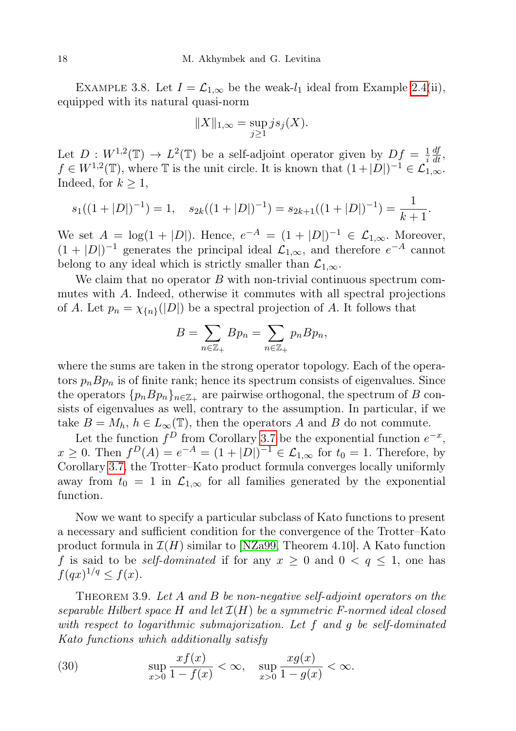<span id="page-17-0"></span>EXAMPLE 3.8. Let  $I = \mathcal{L}_{1,\infty}$  be the weak- $l_1$  ideal from Example [2.4\(](#page-3-0)ii), equipped with its natural quasi-norm

$$
||X||_{1,\infty} = \sup_{j\geq 1} j s_j(X).
$$

Let  $D: W^{1,2}(\mathbb{T}) \to L^2(\mathbb{T})$  be a self-adjoint operator given by  $Df = \frac{1}{i}$ i  $\frac{df}{dt}$ ,  $f \in W^{1,2}(\mathbb{T})$ , where  $\mathbb T$  is the unit circle. It is known that  $(1+|D|)^{-1} \in \mathcal{L}_{1,\infty}^{1,\infty}$ . Indeed, for  $k \geq 1$ ,

$$
s_1((1+|D|)^{-1}) = 1
$$
,  $s_{2k}((1+|D|)^{-1}) = s_{2k+1}((1+|D|)^{-1}) = \frac{1}{k+1}$ .

We set  $A = \log(1 + |D|)$ . Hence,  $e^{-A} = (1 + |D|)^{-1} \in \mathcal{L}_{1,\infty}$ . Moreover,  $(1+|D|)^{-1}$  generates the principal ideal  $\mathcal{L}_{1,\infty}$ , and therefore  $e^{-A}$  cannot belong to any ideal which is strictly smaller than  $\mathcal{L}_{1,\infty}$ .

We claim that no operator  $B$  with non-trivial continuous spectrum commutes with A. Indeed, otherwise it commutes with all spectral projections of A. Let  $p_n = \chi_{\{n\}}(|D|)$  be a spectral projection of A. It follows that

$$
B = \sum_{n \in \mathbb{Z}_+} B p_n = \sum_{n \in \mathbb{Z}_+} p_n B p_n,
$$

where the sums are taken in the strong operator topology. Each of the operators  $p_n B p_n$  is of finite rank; hence its spectrum consists of eigenvalues. Since the operators  ${p_n B p_n}$ <sub> $n \in \mathbb{Z}_+$ </sub> are pairwise orthogonal, the spectrum of B consists of eigenvalues as well, contrary to the assumption. In particular, if we take  $B = M_h$ ,  $h \in L_\infty(\mathbb{T})$ , then the operators A and B do not commute.

Let the function  $f^D$  from Corollary [3.7](#page-16-1) be the exponential function  $e^{-x}$ ,  $x \ge 0$ . Then  $f^{D}(A) = e^{-A} = (1 + |D|)^{-1} \in \mathcal{L}_{1,\infty}$  for  $t_0 = 1$ . Therefore, by Corollary [3.7,](#page-16-1) the Trotter–Kato product formula converges locally uniformly away from  $t_0 = 1$  in  $\mathcal{L}_{1,\infty}$  for all families generated by the exponential function.

Now we want to specify a particular subclass of Kato functions to present a necessary and sufficient condition for the convergence of the Trotter–Kato product formula in  $\mathcal{I}(H)$  similar to [\[NZa99,](#page-23-10) Theorem 4.10]. A Kato function f is said to be *self-dominated* if for any  $x \geq 0$  and  $0 \lt q \leq 1$ , one has  $f(qx)^{1/q} \le f(x)$ .

THEOREM 3.9. Let A and B be non-negative self-adjoint operators on the separable Hilbert space H and let  $\mathcal{I}(H)$  be a symmetric F-normed ideal closed with respect to logarithmic submajorization. Let f and g be self-dominated Kato functions which additionally satisfy

(30) 
$$
\sup_{x>0} \frac{xf(x)}{1 - f(x)} < \infty, \quad \sup_{x>0} \frac{xg(x)}{1 - g(x)} < \infty.
$$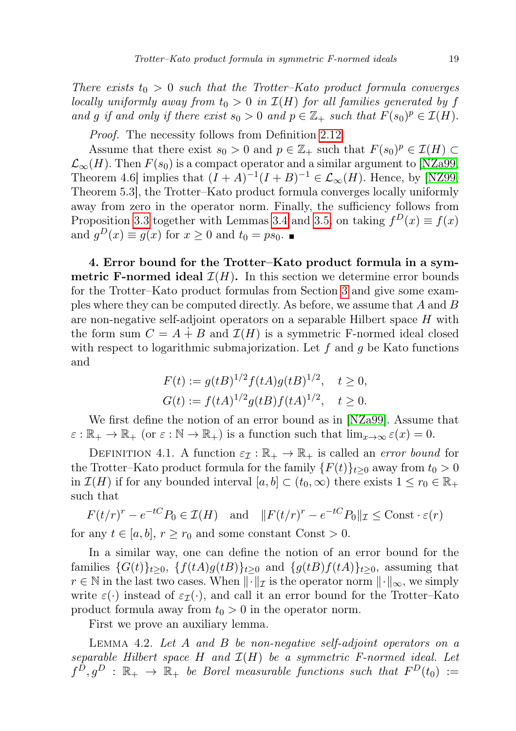There exists  $t_0 > 0$  such that the Trotter–Kato product formula converges locally uniformly away from  $t_0 > 0$  in  $\mathcal{I}(H)$  for all families generated by f and g if and only if there exist  $s_0 > 0$  and  $p \in \mathbb{Z}_+$  such that  $F(s_0)^p \in \mathcal{I}(H)$ .

Proof. The necessity follows from Definition [2.12.](#page-7-0)

Assume that there exist  $s_0 > 0$  and  $p \in \mathbb{Z}_+$  such that  $F(s_0)^p \in \mathcal{I}(H) \subset$  $\mathcal{L}_{\infty}(H)$ . Then  $F(s_0)$  is a compact operator and a similar argument to [\[NZa99,](#page-23-10) Theorem 4.6] implies that  $(I + A)^{-1}(I + B)^{-1} \in \mathcal{L}_{\infty}(H)$ . Hence, by [\[NZ99,](#page-23-5) Theorem 5.3], the Trotter–Kato product formula converges locally uniformly away from zero in the operator norm. Finally, the sufficiency follows from Proposition [3.3](#page-12-2) together with Lemmas [3.4](#page-15-0) and [3.5,](#page-15-1) on taking  $f^{D}(x) \equiv f(x)$ and  $g^D(x) \equiv g(x)$  for  $x \ge 0$  and  $t_0 = ps_0$ .

4. Error bound for the Trotter–Kato product formula in a sym**metric F-normed ideal**  $\mathcal{I}(H)$ . In this section we determine error bounds for the Trotter–Kato product formulas from Section [3](#page-7-3) and give some examples where they can be computed directly. As before, we assume that A and B are non-negative self-adjoint operators on a separable Hilbert space H with the form sum  $C = A + B$  and  $\mathcal{I}(H)$  is a symmetric F-normed ideal closed with respect to logarithmic submajorization. Let  $f$  and  $q$  be Kato functions and

$$
F(t) := g(tB)^{1/2} f(tA)g(tB)^{1/2}, \quad t \ge 0,
$$
  
\n
$$
G(t) := f(tA)^{1/2} g(tB) f(tA)^{1/2}, \quad t \ge 0.
$$

We first define the notion of an error bound as in [\[NZa99\]](#page-23-10). Assume that  $\varepsilon : \mathbb{R}_+ \to \mathbb{R}_+$  (or  $\varepsilon : \mathbb{N} \to \mathbb{R}_+$ ) is a function such that  $\lim_{x \to \infty} \varepsilon(x) = 0$ .

<span id="page-18-1"></span>DEFINITION 4.1. A function  $\varepsilon_{\mathcal{I}} : \mathbb{R}_+ \to \mathbb{R}_+$  is called an *error bound* for the Trotter–Kato product formula for the family  $\{F(t)\}_{t>0}$  away from  $t_0 > 0$ in  $\mathcal{I}(H)$  if for any bounded interval  $[a, b] \subset (t_0, \infty)$  there exists  $1 \leq r_0 \in \mathbb{R}_+$ such that

$$
F(t/r)^r - e^{-tC}P_0 \in \mathcal{I}(H)
$$
 and  $||F(t/r)^r - e^{-tC}P_0||_{\mathcal{I}} \leq \text{Const} \cdot \varepsilon(r)$ 

for any  $t \in [a, b], r \geq r_0$  and some constant Const > 0.

In a similar way, one can define the notion of an error bound for the families  $\{G(t)\}_{t>0}$ ,  $\{f(tA)g(tB)\}_{t>0}$  and  $\{g(tB)f(tA)\}_{t>0}$ , assuming that  $r \in \mathbb{N}$  in the last two cases. When  $\lVert \cdot \rVert_{\mathcal{I}}$  is the operator norm  $\lVert \cdot \rVert_{\infty}$ , we simply write  $\varepsilon(\cdot)$  instead of  $\varepsilon_{\mathcal{I}}(\cdot)$ , and call it an error bound for the Trotter–Kato product formula away from  $t_0 > 0$  in the operator norm.

First we prove an auxiliary lemma.

<span id="page-18-0"></span>LEMMA 4.2. Let  $A$  and  $B$  be non-negative self-adjoint operators on a separable Hilbert space H and  $\mathcal{I}(H)$  be a symmetric F-normed ideal. Let  $f^{\bar{D}}, g^D$  :  $\mathbb{R}_+ \to \bar{\mathbb{R}}_+$  be Borel measurable functions such that  $F^D(t_0)$  :=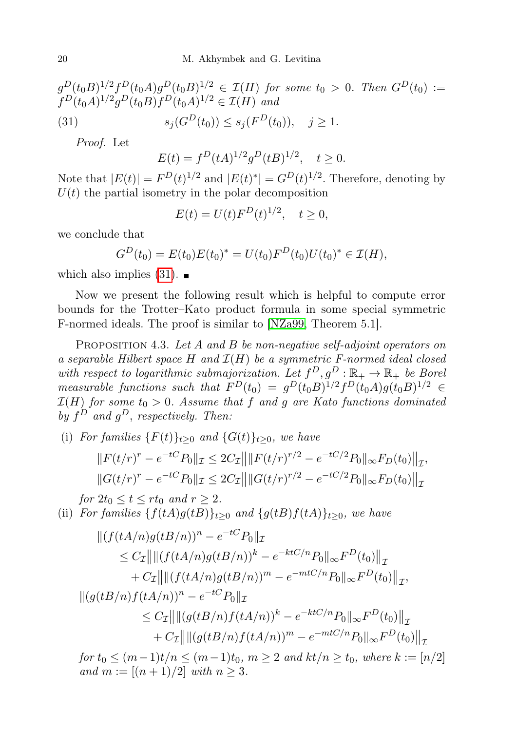$$
g^{D}(t_{0}B)^{1/2} f^{D}(t_{0}A) g^{D}(t_{0}B)^{1/2} \in \mathcal{I}(H) \text{ for some } t_{0} > 0. \text{ Then } G^{D}(t_{0}) :=
$$
  

$$
f^{D}(t_{0}A)^{1/2} g^{D}(t_{0}B) f^{D}(t_{0}A)^{1/2} \in \mathcal{I}(H) \text{ and}
$$
  
(31) 
$$
s_{j}(G^{D}(t_{0})) \leq s_{j}(F^{D}(t_{0})), \quad j \geq 1.
$$

Proof. Let

<span id="page-19-1"></span> $E(t) = f^{D}(tA)^{1/2}g^{D}(tB)^{1/2}, t \ge 0.$ 

Note that  $|E(t)| = F^{D}(t)^{1/2}$  and  $|E(t)^{*}| = G^{D}(t)^{1/2}$ . Therefore, denoting by  $U(t)$  the partial isometry in the polar decomposition

$$
E(t) = U(t)F^{D}(t)^{1/2}, \quad t \ge 0,
$$

we conclude that

$$
G^{D}(t_0) = E(t_0)E(t_0)^{*} = U(t_0)F^{D}(t_0)U(t_0)^{*} \in \mathcal{I}(H),
$$

which also implies  $(31)$ .

Now we present the following result which is helpful to compute error bounds for the Trotter–Kato product formula in some special symmetric F-normed ideals. The proof is similar to [\[NZa99,](#page-23-10) Theorem 5.1].

<span id="page-19-0"></span>PROPOSITION 4.3. Let A and B be non-negative self-adjoint operators on a separable Hilbert space H and  $\mathcal{I}(H)$  be a symmetric F-normed ideal closed with respect to logarithmic submajorization. Let  $f^D, g^D : \mathbb{R}_+ \to \mathbb{R}_+$  be Borel measurable functions such that  $F^D(t_0) = g^D(t_0 B)^{1/2} f^D(t_0 A) g(t_0 B)^{1/2} \in$  $\mathcal{I}(H)$  for some  $t_0 > 0$ . Assume that f and g are Kato functions dominated by  $f^D$  and  $g^D$ , respectively. Then:

<span id="page-19-2"></span>(i) For families  ${F(t)}_{t>0}$  and  ${G(t)}_{t>0}$ , we have

$$
||F(t/r)^r - e^{-tC}P_0||_{\mathcal{I}} \le 2C_{\mathcal{I}}|| ||F(t/r)^{r/2} - e^{-tC/2}P_0||_{\infty}F_D(t_0)||_{\mathcal{I}},
$$
  

$$
||G(t/r)^r - e^{-tC}P_0||_{\mathcal{I}} \le 2C_{\mathcal{I}}|| ||G(t/r)^{r/2} - e^{-tC/2}P_0||_{\infty}F_D(t_0)||_{\mathcal{I}}
$$

for  $2t_0 \le t \le rt_0$  and  $r \ge 2$ .

<span id="page-19-3"></span>(ii) For families  $\{f(tA)g(tB)\}_{t\geq 0}$  and  $\{g(tB)f(tA)\}_{t\geq 0}$ , we have

$$
\begin{aligned} \|(f(tA/n)g(tB/n))^n - e^{-tC}P_0\|_{\mathcal{I}} \\ &\leq C_{\mathcal{I}} \|\|(f(tA/n)g(tB/n))^k - e^{-ktC/n}P_0\|_{\infty}F^D(t_0)\|_{\mathcal{I}} \\ &+ C_{\mathcal{I}} \|\|(f(tA/n)g(tB/n))^m - e^{-mtC/n}P_0\|_{\infty}F^D(t_0)\|_{\mathcal{I}}, \\ \|(g(tB/n)f(tA/n))^n - e^{-tC}P_0\|_{\mathcal{I}} \end{aligned}
$$

$$
\leq C_{\mathcal{I}} \left\| \left\| (g(tB/n)f(tA/n))^k - e^{-ktC/n} P_0 \right\|_{\infty} F^D(t_0) \right\|_{\mathcal{I}} + C_{\mathcal{I}} \left\| \left\| (g(tB/n)f(tA/n))^m - e^{-mtC/n} P_0 \right\|_{\infty} F^D(t_0) \right\|_{\mathcal{I}}.
$$

 $for t<sub>0</sub> ≤ (m-1)t/n ≤ (m-1)t<sub>0</sub>, m ≥ 2 and kt/n ≥ t<sub>0</sub>, where k := [n/2]$ and  $m := [(n + 1)/2]$  with  $n \ge 3$ .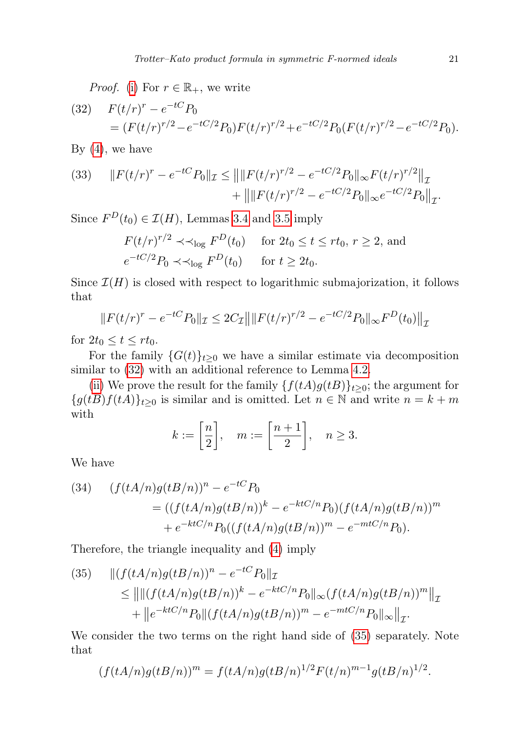*Proof.* [\(i\)](#page-19-2) For  $r \in \mathbb{R}_+$ , we write

<span id="page-20-0"></span>(32) 
$$
F(t/r)^{r} - e^{-tC} P_0 = (F(t/r)^{r/2} - e^{-tC/2} P_0) F(t/r)^{r/2} + e^{-tC/2} P_0 (F(t/r)^{r/2} - e^{-tC/2} P_0).
$$

By  $(4)$ , we have

(33) 
$$
||F(t/r)^{r} - e^{-tC}P_0||_{\mathcal{I}} \le ||||F(t/r)^{r/2} - e^{-tC/2}P_0||_{\infty}F(t/r)^{r/2}||_{\mathcal{I}} + ||||F(t/r)^{r/2} - e^{-tC/2}P_0||_{\infty}e^{-tC/2}P_0||_{\mathcal{I}}.
$$

Since  $F^{D}(t_0) \in \mathcal{I}(H)$ , Lemmas [3.4](#page-15-0) and [3.5](#page-15-1) imply

$$
F(t/r)^{r/2} \prec \prec_{\log} F^D(t_0) \quad \text{for } 2t_0 \le t \le rt_0, r \ge 2, \text{ and}
$$
  

$$
e^{-tC/2}P_0 \prec \prec_{\log} F^D(t_0) \quad \text{for } t \ge 2t_0.
$$

Since  $\mathcal{I}(H)$  is closed with respect to logarithmic submajorization, it follows that

$$
||F(t/r)^{r} - e^{-tC}P_0||_{\mathcal{I}} \le 2C_{\mathcal{I}}|| ||F(t/r)^{r/2} - e^{-tC/2}P_0||_{\infty}F^{D}(t_0)||_{\mathcal{I}}
$$

for  $2t_0 \leq t \leq rt_0$ .

For the family  $\{G(t)\}_{t>0}$  we have a similar estimate via decomposition similar to [\(32\)](#page-20-0) with an additional reference to Lemma [4.2.](#page-18-0)

[\(ii\)](#page-19-3) We prove the result for the family  $\{f(tA)g(tB)\}_{t>0}$ ; the argument for  ${g(tB)f(tA)}_{t\geq0}$  is similar and is omitted. Let  $n \in \mathbb{N}$  and write  $n = k + m$ with

$$
k := \left[\frac{n}{2}\right], \quad m := \left[\frac{n+1}{2}\right], \quad n \ge 3.
$$

We have

(34) 
$$
(f(tA/n)g(tB/n))^n - e^{-tC}P_0
$$
  
= 
$$
((f(tA/n)g(tB/n))^k - e^{-ktC/n}P_0)(f(tA/n)g(tB/n))^m
$$
  
+ 
$$
e^{-ktC/n}P_0((f(tA/n)g(tB/n))^m - e^{-mtC/n}P_0).
$$

Therefore, the triangle inequality and [\(4\)](#page-4-3) imply

<span id="page-20-1"></span>(35) 
$$
\| (f(tA/n)g(tB/n))^n - e^{-tC} P_0 \|_{\mathcal{I}} \le \| \| (f(tA/n)g(tB/n))^k - e^{-ktC/n} P_0 \|_{\infty} (f(tA/n)g(tB/n))^m \|_{\mathcal{I}} + \| e^{-ktC/n} P_0 \| (f(tA/n)g(tB/n))^m - e^{-mtC/n} P_0 \|_{\infty} \|_{\mathcal{I}}.
$$

We consider the two terms on the right hand side of  $(35)$  separately. Note that

$$
(f(tA/n)g(tB/n))^{m} = f(tA/n)g(tB/n)^{1/2}F(t/n)^{m-1}g(tB/n)^{1/2}.
$$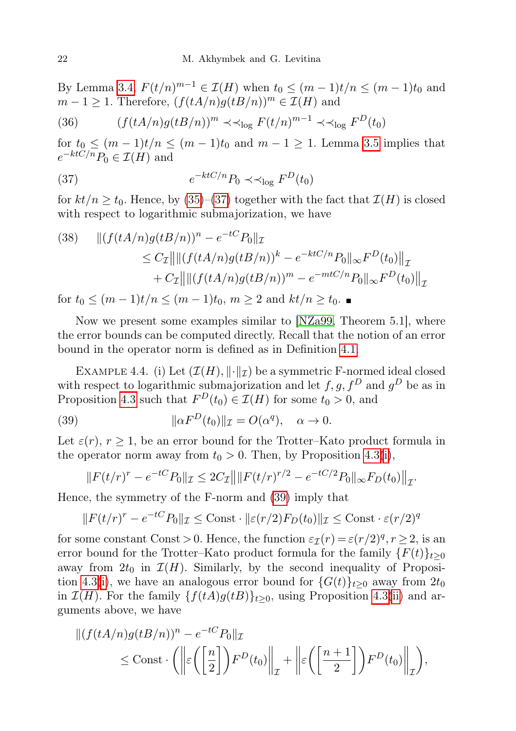By Lemma [3.4,](#page-15-0)  $F(t/n)^{m-1} \in \mathcal{I}(H)$  when  $t_0 \leq (m-1)t/n \leq (m-1)t_0$  and  $m-1 \geq 1$ . Therefore,  $(f(tA/n)g(tB/n))^m \in \mathcal{I}(H)$  and

(36) 
$$
(f(tA/n)g(tB/n))^m \prec \prec_{\log} F(t/n)^{m-1} \prec \prec_{\log} F^D(t_0)
$$

<span id="page-21-1"></span>for  $t_0 \leq (m-1)t/n \leq (m-1)t_0$  and  $m-1 \geq 1$ . Lemma [3.5](#page-15-1) implies that  $e^{-ktC/n}P_0 \in \mathcal{I}(H)$  and

(37) 
$$
e^{-ktC/n}P_0 \prec \prec_{\log} F^D(t_0)
$$

for  $kt/n \geq t_0$ . Hence, by [\(35\)](#page-20-1)–[\(37\)](#page-21-1) together with the fact that  $\mathcal{I}(H)$  is closed with respect to logarithmic submajorization, we have

(38) 
$$
\| (f(tA/n)g(tB/n))^n - e^{-tC} P_0 \|_{\mathcal{I}} \n\leq C_{\mathcal{I}} \| \| (f(tA/n)g(tB/n))^k - e^{-ktC/n} P_0 \|_{\infty} F^D(t_0) \|_{\mathcal{I}} \n+ C_{\mathcal{I}} \| \| (f(tA/n)g(tB/n))^m - e^{-mtC/n} P_0 \|_{\infty} F^D(t_0) \|_{\mathcal{I}}
$$

for  $t_0 \le (m-1)t/n \le (m-1)t_0, m \ge 2$  and  $kt/n \ge t_0$ .

Now we present some examples similar to [\[NZa99,](#page-23-10) Theorem 5.1], where the error bounds can be computed directly. Recall that the notion of an error bound in the operator norm is defined as in Definition [4.1.](#page-18-1)

<span id="page-21-0"></span>EXAMPLE 4.4. (i) Let  $(\mathcal{I}(H), \|\cdot\|_{\mathcal{I}})$  be a symmetric F-normed ideal closed with respect to logarithmic submajorization and let  $f, g, f^D$  and  $g^D$  be as in Proposition [4.3](#page-19-0) such that  $F^{D}(t_0) \in \mathcal{I}(H)$  for some  $t_0 > 0$ , and

(39) 
$$
\|\alpha F^{D}(t_0)\|_{\mathcal{I}} = O(\alpha^q), \quad \alpha \to 0.
$$

Let  $\varepsilon(r)$ ,  $r \geq 1$ , be an error bound for the Trotter–Kato product formula in the operator norm away from  $t_0 > 0$ . Then, by Proposition [4.3](#page-19-0)[\(i\)](#page-19-2),

<span id="page-21-2"></span>
$$
||F(t/r)^{r} - e^{-tC}P_0||_{\mathcal{I}} \leq 2C_{\mathcal{I}}|| ||F(t/r)^{r/2} - e^{-tC/2}P_0||_{\infty}F_D(t_0)||_{\mathcal{I}}.
$$

Hence, the symmetry of the F-norm and [\(39\)](#page-21-2) imply that

$$
||F(t/r)^{r} - e^{-tC}P_0||_{\mathcal{I}} \leq \text{Const} \cdot ||\varepsilon(r/2)F_D(t_0)||_{\mathcal{I}} \leq \text{Const} \cdot \varepsilon(r/2)^{q}
$$

for some constant Const > 0. Hence, the function  $\varepsilon_{\mathcal{I}}(r) = \varepsilon (r/2)^q, r \geq 2$ , is an error bound for the Trotter–Kato product formula for the family  ${F(t)}_{t\geq0}$ away from  $2t_0$  in  $\mathcal{I}(H)$ . Similarly, by the second inequality of Proposi-tion [4.3\(](#page-19-0)[i\)](#page-19-2), we have an analogous error bound for  $\{G(t)\}_{t\geq0}$  away from  $2t_0$ in  $\mathcal{I}(H)$ . For the family  $\{f(tA)g(tB)\}_{t>0}$ , using Proposition [4.3](#page-19-0)[\(ii\)](#page-19-3) and arguments above, we have

$$
\begin{aligned} \|(f(tA/n)g(tB/n))^n - e^{-tC}P_0\|_{\mathcal{I}} \\ &\leq \text{Const} \cdot \left( \left\| \varepsilon \left( \left[ \frac{n}{2} \right] \right) F^D(t_0) \right\|_{\mathcal{I}} + \left\| \varepsilon \left( \left[ \frac{n+1}{2} \right] \right) F^D(t_0) \right\|_{\mathcal{I}} \right), \end{aligned}
$$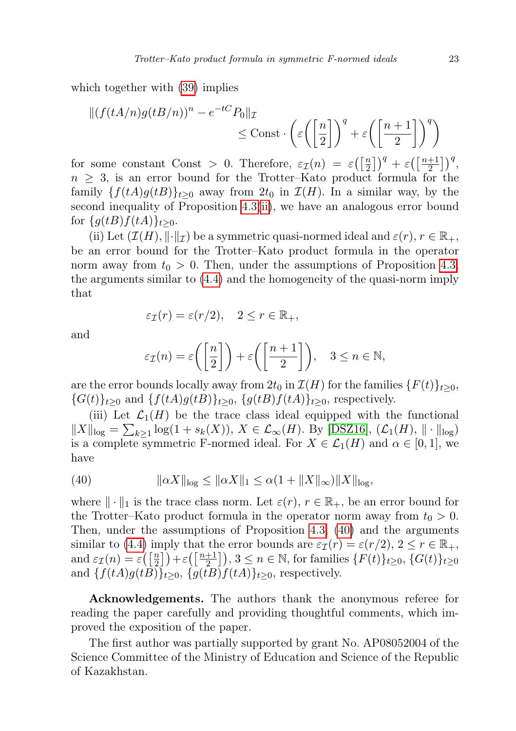which together with [\(39\)](#page-21-2) implies

$$
\| (f(tA/n)g(tB/n))^n - e^{-tC} P_0 \|_{\mathcal{I}} \leq \text{Const} \cdot \left( \varepsilon \left( \left[ \frac{n}{2} \right] \right)^q + \varepsilon \left( \left[ \frac{n+1}{2} \right] \right)^q \right)
$$

for some constant Const > 0. Therefore,  $\varepsilon_{\mathcal{I}}(n) = \varepsilon \left( \left[ \frac{n}{2} \right] \right)$  $\left[\frac{n}{2}\right]$ )<sup>q</sup> +  $\varepsilon$  ( $\left[\frac{n+1}{2}\right]$  $\left(\frac{+1}{2}\right)\right)^q$  $n \geq 3$ , is an error bound for the Trotter–Kato product formula for the family  $\{f(tA)g(tB)\}_{t>0}$  away from  $2t_0$  in  $\mathcal{I}(H)$ . In a similar way, by the second inequality of Proposition [4.3](#page-19-0)[\(ii\)](#page-19-3), we have an analogous error bound for  $\{g(tB)f(tA)\}_{t>0}$ .

(ii) Let  $(\mathcal{I}(H), \|\cdot\|_{\mathcal{I}})$  be a symmetric quasi-normed ideal and  $\varepsilon(r), r \in \mathbb{R}_+,$ be an error bound for the Trotter–Kato product formula in the operator norm away from  $t_0 > 0$ . Then, under the assumptions of Proposition [4.3,](#page-19-0) the arguments similar to [\(4.4\)](#page-21-0) and the homogeneity of the quasi-norm imply that

$$
\varepsilon_{\mathcal{I}}(r) = \varepsilon(r/2), \quad 2 \le r \in \mathbb{R}_+,
$$

and

$$
\varepsilon_{\mathcal{I}}(n) = \varepsilon\bigg(\bigg[\frac{n}{2}\bigg]\bigg) + \varepsilon\bigg(\bigg[\frac{n+1}{2}\bigg]\bigg), \quad 3 \le n \in \mathbb{N},
$$

are the error bounds locally away from  $2t_0$  in  $\mathcal{I}(H)$  for the families  $\{F(t)\}_{t\geq0}$ ,  ${G(t)}_{t>0}$  and  ${f(tA)g(tB)}_{t>0}$ ,  ${g(tB)f(tA)}_{t>0}$ , respectively.

(iii) Let  $\mathcal{L}_1(H)$  be the trace class ideal equipped with the functional  $||X||_{\text{log}} = \sum_{k\geq 1} \log(1 + s_k(X)), X \in \mathcal{L}_{\infty}(H)$ . By [\[DSZ16\]](#page-23-13),  $(\mathcal{L}_1(H), ||\cdot||_{\text{log}})$ is a complete symmetric F-normed ideal. For  $X \in \mathcal{L}_1(H)$  and  $\alpha \in [0,1]$ , we have

<span id="page-22-0"></span>(40) 
$$
\|\alpha X\|_{\log} \le \|\alpha X\|_1 \le \alpha(1 + \|X\|_{\infty}) \|X\|_{\log},
$$

where  $\|\cdot\|_1$  is the trace class norm. Let  $\varepsilon(r)$ ,  $r \in \mathbb{R}_+$ , be an error bound for the Trotter–Kato product formula in the operator norm away from  $t_0 > 0$ . Then, under the assumptions of Proposition [4.3,](#page-19-0) [\(40\)](#page-22-0) and the arguments similar to [\(4.4\)](#page-21-0) imply that the error bounds are  $\varepsilon_{\mathcal{I}}(r) = \varepsilon(r/2), 2 \le r \in \mathbb{R}_+,$ and  $\varepsilon_{\mathcal{I}}(n) = \varepsilon\left(\left\lceil \frac{n}{2}\right\rceil\right)$  $\left[\frac{n}{2}\right]+\varepsilon\left(\left[\frac{n+1}{2}\right]_2\right)$  $\left[\frac{+1}{2}\right]$ ,  $3 \leq n \in \mathbb{N}$ , for families  $\{F(t)\}_{t \geq 0}$ ,  $\{G(t)\}_{t \geq 0}$ and  $\{f(tA)g(tB)\}_{t\geq0}$ ,  $\{g(tB)f(tA)\}_{t\geq0}$ , respectively.

Acknowledgements. The authors thank the anonymous referee for reading the paper carefully and providing thoughtful comments, which improved the exposition of the paper.

The first author was partially supported by grant No. AP08052004 of the Science Committee of the Ministry of Education and Science of the Republic of Kazakhstan.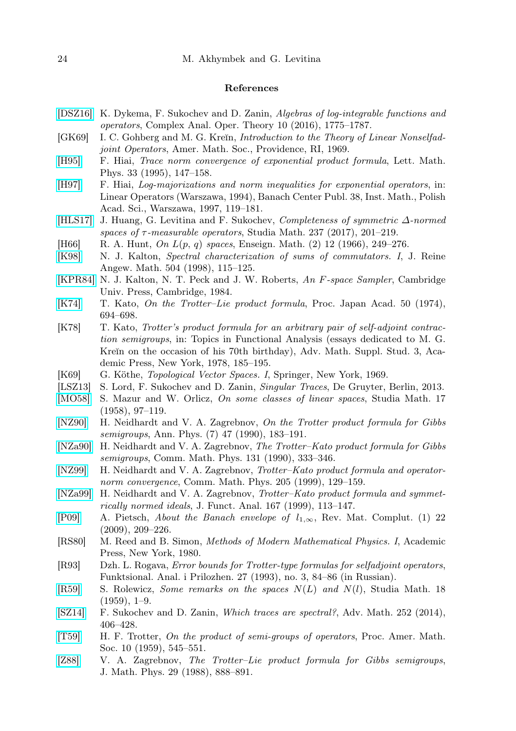## References

- <span id="page-23-13"></span>[\[DSZ16\]](http://dx.doi.org/10.1007/s11785-016-0569-9) K. Dykema, F. Sukochev and D. Zanin, Algebras of log-integrable functions and operators, Complex Anal. Oper. Theory 10 (2016), 1775–1787.
- <span id="page-23-20"></span>[GK69] I. C. Gohberg and M. G. Kreĭn, *Introduction to the Theory of Linear Nonselfad*joint Operators, Amer. Math. Soc., Providence, RI, 1969.
- <span id="page-23-23"></span>[\[H95\]](http://dx.doi.org/10.1007/BF00739803) F. Hiai, Trace norm convergence of exponential product formula, Lett. Math. Phys. 33 (1995), 147–158.
- <span id="page-23-9"></span>[\[H97\]](http://dx.doi.org/10.4064/-38-1-119-181) F. Hiai, Log-majorizations and norm inequalities for exponential operators, in: Linear Operators (Warszawa, 1994), Banach Center Publ. 38, Inst. Math., Polish Acad. Sci., Warszawa, 1997, 119–181.
- <span id="page-23-19"></span>[\[HLS17\]](http://dx.doi.org/10.4064/sm8349-10-2016) J. Huang, G. Levitina and F. Sukochev, Completeness of symmetric ∆-normed spaces of  $\tau$ -measurable operators, Studia Math. 237 (2017), 201–219.
- <span id="page-23-16"></span>[H66] R. A. Hunt, On  $L(p, q)$  spaces, Enseign. Math. (2) 12 (1966), 249–276.
- <span id="page-23-22"></span>[\[K98\]](http://dx.doi.org/10.1515/crll.1998.102) N. J. Kalton, Spectral characterization of sums of commutators. I, J. Reine Angew. Math. 504 (1998), 115–125.
- <span id="page-23-11"></span>[\[KPR84\]](http://dx.doi.org/10.1017/CBO9780511662447) N. J. Kalton, N. T. Peck and J. W. Roberts, An F-space Sampler, Cambridge Univ. Press, Cambridge, 1984.
- <span id="page-23-3"></span>[\[K74\]](http://dx.doi.org/10.3792/pja/1195518790) T. Kato, On the Trotter–Lie product formula, Proc. Japan Acad. 50 (1974), 694–698.
- <span id="page-23-2"></span>[K78] T. Kato, Trotter's product formula for an arbitrary pair of self-adjoint contraction semigroups, in: Topics in Functional Analysis (essays dedicated to M. G. Kreĭn on the occasion of his 70th birthday), Adv. Math. Suppl. Stud. 3, Academic Press, New York, 1978, 185–195.
- <span id="page-23-12"></span>[K69] G. Köthe, *Topological Vector Spaces. I*, Springer, New York, 1969.
- <span id="page-23-14"></span>[LSZ13] S. Lord, F. Sukochev and D. Zanin, *Singular Traces*, De Gruyter, Berlin, 2013.
- <span id="page-23-18"></span>[\[MO58\]](http://dx.doi.org/10.4064/sm-17-1-97-119) S. Mazur and W. Orlicz, On some classes of linear spaces, Studia Math. 17 (1958), 97–119.
- <span id="page-23-7"></span>[\[NZ90\]](http://dx.doi.org/10.1002/andp.19905020213) H. Neidhardt and V. A. Zagrebnov, On the Trotter product formula for Gibbs semigroups, Ann. Phys. (7) 47 (1990), 183–191.
- <span id="page-23-8"></span>[\[NZa90\]](http://dx.doi.org/10.1007/BF02161418) H. Neidhardt and V. A. Zagrebnov, The Trotter–Kato product formula for Gibbs semigroups, Comm. Math. Phys. 131 (1990), 333–346.
- <span id="page-23-5"></span>[\[NZ99\]](http://dx.doi.org/10.1007/s002200050671) H. Neidhardt and V. A. Zagrebnov, Trotter–Kato product formula and operatornorm convergence, Comm. Math. Phys. 205 (1999), 129–159.
- <span id="page-23-10"></span>[\[NZa99\]](http://dx.doi.org/10.1006/jfan.1999.3435) H. Neidhardt and V. A. Zagrebnov, Trotter–Kato product formula and symmetrically normed ideals, J. Funct. Anal. 167 (1999), 113–147.
- <span id="page-23-15"></span>[\[P09\]](http://dx.doi.org/10.5209/rev_REMA.2009.v22.n1.16350) A. Pietsch, About the Banach envelope of  $l_{1,\infty}$ , Rev. Mat. Complut. (1) 22 (2009), 209–226.
- <span id="page-23-1"></span>[RS80] M. Reed and B. Simon, Methods of Modern Mathematical Physics. I, Academic Press, New York, 1980.
- <span id="page-23-4"></span>[R93] Dzh. L. Rogava, Error bounds for Trotter-type formulas for selfadjoint operators, Funktsional. Anal. i Prilozhen. 27 (1993), no. 3, 84–86 (in Russian).
- <span id="page-23-17"></span>[\[R59\]](http://dx.doi.org/10.4064/sm-18-1-1-9) S. Rolewicz, Some remarks on the spaces  $N(L)$  and  $N(l)$ , Studia Math. 18  $(1959), 1-9.$
- <span id="page-23-21"></span>[\[SZ14\]](http://dx.doi.org/10.1016/j.aim.2013.10.028) F. Sukochev and D. Zanin, Which traces are spectral?, Adv. Math. 252 (2014), 406–428.
- <span id="page-23-0"></span>[\[T59\]](http://dx.doi.org/10.1090/S0002-9939-1959-0108732-6) H. F. Trotter, On the product of semi-groups of operators, Proc. Amer. Math. Soc. 10 (1959), 545–551.
- <span id="page-23-6"></span>[\[Z88\]](http://dx.doi.org/10.1063/1.527985) V. A. Zagrebnov, The Trotter–Lie product formula for Gibbs semigroups, J. Math. Phys. 29 (1988), 888–891.